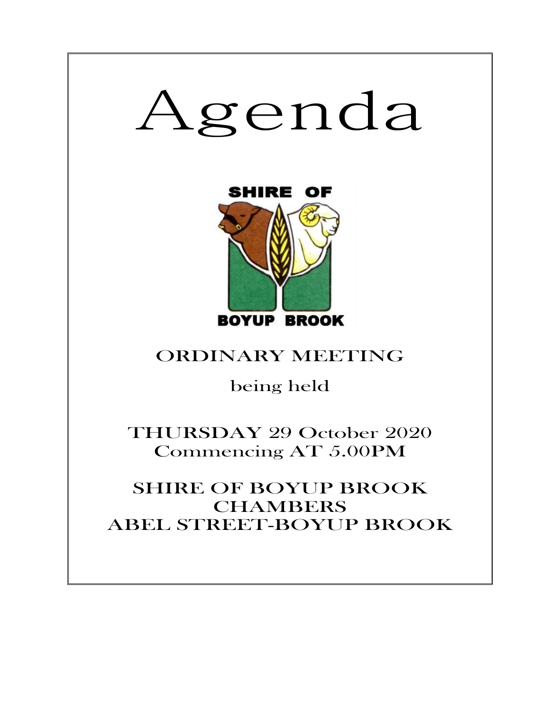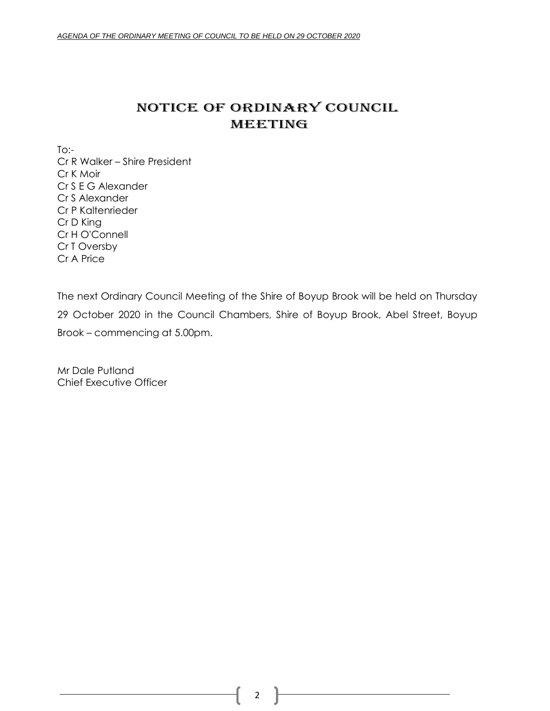# NOTICE OF ORDINARY COUNCIL MEETING

 $To:-$ Cr R Walker – Shire President Cr K Moir Cr S E G Alexander Cr S Alexander Cr P Kaltenrieder Cr D King Cr H O'Connell Cr T Oversby Cr A Price

The next Ordinary Council Meeting of the Shire of Boyup Brook will be held on Thursday 29 October 2020 in the Council Chambers, Shire of Boyup Brook, Abel Street, Boyup Brook – commencing at 5.00pm.

Mr Dale Putland Chief Executive Officer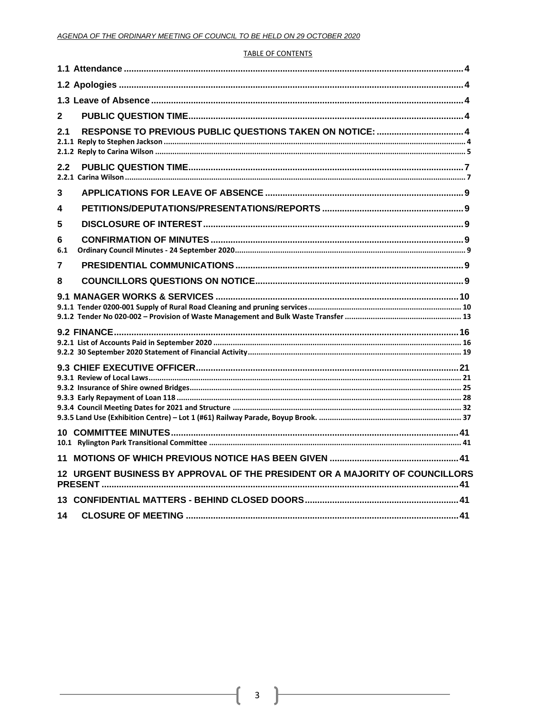### **TABLE OF CONTENTS**

| $\mathbf{2}$                                                                 |  |
|------------------------------------------------------------------------------|--|
| RESPONSE TO PREVIOUS PUBLIC QUESTIONS TAKEN ON NOTICE:  4<br>2.1             |  |
| 2.2                                                                          |  |
| 3                                                                            |  |
| 4                                                                            |  |
| 5                                                                            |  |
| 6<br>6.1                                                                     |  |
| 7                                                                            |  |
| 8                                                                            |  |
|                                                                              |  |
|                                                                              |  |
|                                                                              |  |
|                                                                              |  |
| 11                                                                           |  |
| 12 URGENT BUSINESS BY APPROVAL OF THE PRESIDENT OR A MAJORITY OF COUNCILLORS |  |
|                                                                              |  |
| 14                                                                           |  |

l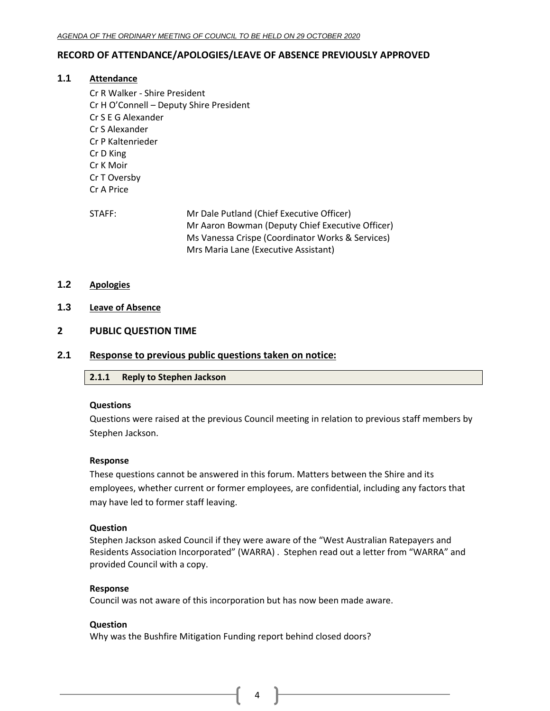# <span id="page-3-0"></span>**RECORD OF ATTENDANCE/APOLOGIES/LEAVE OF ABSENCE PREVIOUSLY APPROVED**

### **1.1 Attendance**

- Cr R Walker Shire President Cr H O'Connell – Deputy Shire President Cr S E G Alexander Cr S Alexander Cr P Kaltenrieder Cr D King Cr K Moir Cr T Oversby Cr A Price
- STAFF: Mr Dale Putland (Chief Executive Officer) Mr Aaron Bowman (Deputy Chief Executive Officer) Ms Vanessa Crispe (Coordinator Works & Services) Mrs Maria Lane (Executive Assistant)
- <span id="page-3-1"></span>**1.2 Apologies**
- <span id="page-3-2"></span>**1.3 Leave of Absence**

# <span id="page-3-3"></span>**2 PUBLIC QUESTION TIME**

# <span id="page-3-5"></span><span id="page-3-4"></span>**2.1 Response to previous public questions taken on notice:**

### **2.1.1 Reply to Stephen Jackson**

### **Questions**

Questions were raised at the previous Council meeting in relation to previous staff members by Stephen Jackson.

#### **Response**

These questions cannot be answered in this forum. Matters between the Shire and its employees, whether current or former employees, are confidential, including any factors that may have led to former staff leaving.

### **Question**

Stephen Jackson asked Council if they were aware of the "West Australian Ratepayers and Residents Association Incorporated" (WARRA) . Stephen read out a letter from "WARRA" and provided Council with a copy.

#### **Response**

Council was not aware of this incorporation but has now been made aware.

#### **Question**

Why was the Bushfire Mitigation Funding report behind closed doors?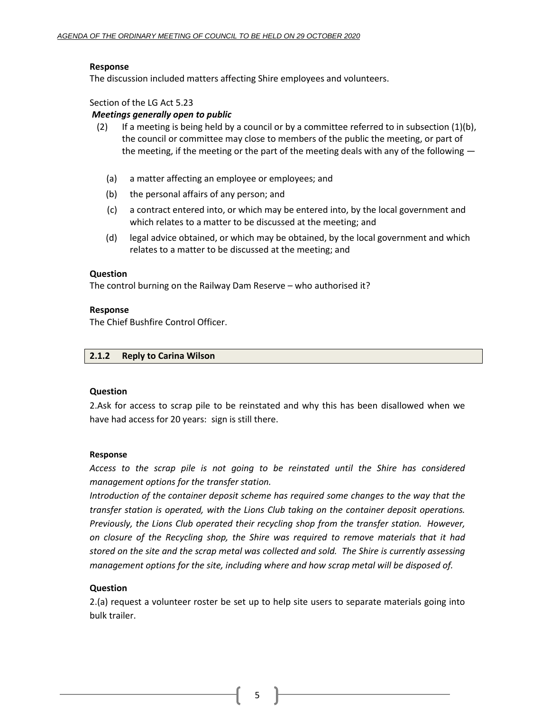# **Response**

The discussion included matters affecting Shire employees and volunteers.

Section of the LG Act 5.23

### *Meetings generally open to public*

- (2) If a meeting is being held by a council or by a committee referred to in subsection  $(1)(b)$ , the council or committee may close to members of the public the meeting, or part of the meeting, if the meeting or the part of the meeting deals with any of the following —
	- (a) a matter affecting an employee or employees; and
	- (b) the personal affairs of any person; and
	- (c) a contract entered into, or which may be entered into, by the local government and which relates to a matter to be discussed at the meeting; and
	- (d) legal advice obtained, or which may be obtained, by the local government and which relates to a matter to be discussed at the meeting; and

### **Question**

The control burning on the Railway Dam Reserve – who authorised it?

# **Response**

The Chief Bushfire Control Officer.

### <span id="page-4-0"></span>**2.1.2 Reply to Carina Wilson**

### **Question**

2.Ask for access to scrap pile to be reinstated and why this has been disallowed when we have had access for 20 years: sign is still there.

### **Response**

*Access to the scrap pile is not going to be reinstated until the Shire has considered management options for the transfer station.*

*Introduction of the container deposit scheme has required some changes to the way that the transfer station is operated, with the Lions Club taking on the container deposit operations. Previously, the Lions Club operated their recycling shop from the transfer station. However, on closure of the Recycling shop, the Shire was required to remove materials that it had stored on the site and the scrap metal was collected and sold. The Shire is currently assessing management options for the site, including where and how scrap metal will be disposed of.* 

# **Question**

2.(a) request a volunteer roster be set up to help site users to separate materials going into bulk trailer.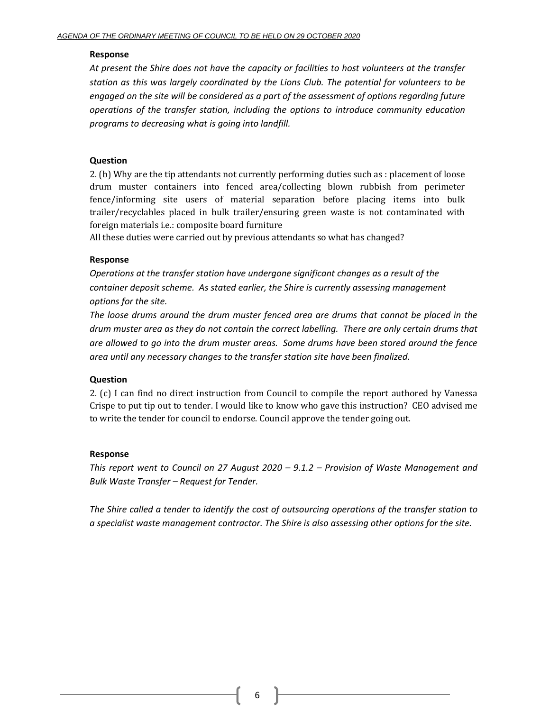# **Response**

*At present the Shire does not have the capacity or facilities to host volunteers at the transfer station as this was largely coordinated by the Lions Club. The potential for volunteers to be engaged on the site will be considered as a part of the assessment of options regarding future operations of the transfer station, including the options to introduce community education programs to decreasing what is going into landfill.*

# **Question**

2. (b) Why are the tip attendants not currently performing duties such as : placement of loose drum muster containers into fenced area/collecting blown rubbish from perimeter fence/informing site users of material separation before placing items into bulk trailer/recyclables placed in bulk trailer/ensuring green waste is not contaminated with foreign materials i.e.: composite board furniture

All these duties were carried out by previous attendants so what has changed?

# **Response**

*Operations at the transfer station have undergone significant changes as a result of the container deposit scheme. As stated earlier, the Shire is currently assessing management options for the site.*

*The loose drums around the drum muster fenced area are drums that cannot be placed in the drum muster area as they do not contain the correct labelling. There are only certain drums that are allowed to go into the drum muster areas. Some drums have been stored around the fence area until any necessary changes to the transfer station site have been finalized.*

# **Question**

2. (c) I can find no direct instruction from Council to compile the report authored by Vanessa Crispe to put tip out to tender. I would like to know who gave this instruction? CEO advised me to write the tender for council to endorse. Council approve the tender going out.

# **Response**

*This report went to Council on 27 August 2020 – 9.1.2 – Provision of Waste Management and Bulk Waste Transfer – Request for Tender.*

*The Shire called a tender to identify the cost of outsourcing operations of the transfer station to a specialist waste management contractor. The Shire is also assessing other options for the site.*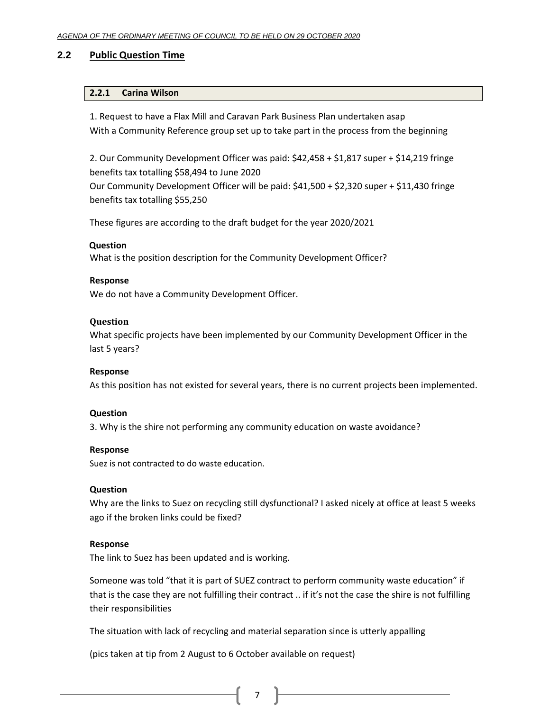# <span id="page-6-1"></span><span id="page-6-0"></span>**2.2 Public Question Time**

# **2.2.1 Carina Wilson**

1. Request to have a Flax Mill and Caravan Park Business Plan undertaken asap With a Community Reference group set up to take part in the process from the beginning

2. Our Community Development Officer was paid: \$42,458 + \$1,817 super + \$14,219 fringe benefits tax totalling \$58,494 to June 2020 Our Community Development Officer will be paid: \$41,500 + \$2,320 super + \$11,430 fringe benefits tax totalling \$55,250

These figures are according to the draft budget for the year 2020/2021

# **Question**

What is the position description for the Community Development Officer?

# **Response**

We do not have a Community Development Officer.

# **Question**

What specific projects have been implemented by our Community Development Officer in the last 5 years?

# **Response**

As this position has not existed for several years, there is no current projects been implemented.

# **Question**

3. Why is the shire not performing any community education on waste avoidance?

# **Response**

Suez is not contracted to do waste education.

# **Question**

Why are the links to Suez on recycling still dysfunctional? I asked nicely at office at least 5 weeks ago if the broken links could be fixed?

# **Response**

The link to Suez has been updated and is working.

Someone was told "that it is part of SUEZ contract to perform community waste education" if that is the case they are not fulfilling their contract .. if it's not the case the shire is not fulfilling their responsibilities

The situation with lack of recycling and material separation since is utterly appalling

(pics taken at tip from 2 August to 6 October available on request)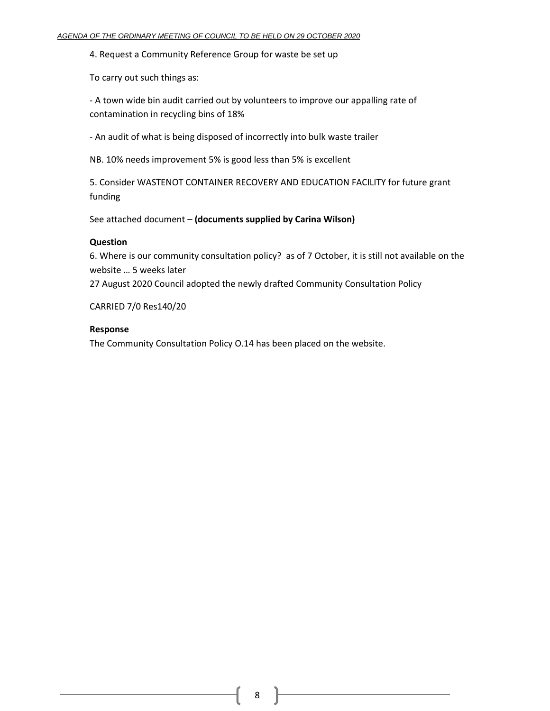4. Request a Community Reference Group for waste be set up

To carry out such things as:

- A town wide bin audit carried out by volunteers to improve our appalling rate of contamination in recycling bins of 18%

- An audit of what is being disposed of incorrectly into bulk waste trailer

NB. 10% needs improvement 5% is good less than 5% is excellent

5. Consider WASTENOT CONTAINER RECOVERY AND EDUCATION FACILITY for future grant funding

See attached document – **(documents supplied by Carina Wilson)**

# **Question**

6. Where is our community consultation policy? as of 7 October, it is still not available on the website … 5 weeks later 27 August 2020 Council adopted the newly drafted Community Consultation Policy

CARRIED 7/0 Res140/20

# **Response**

The Community Consultation Policy O.14 has been placed on the website.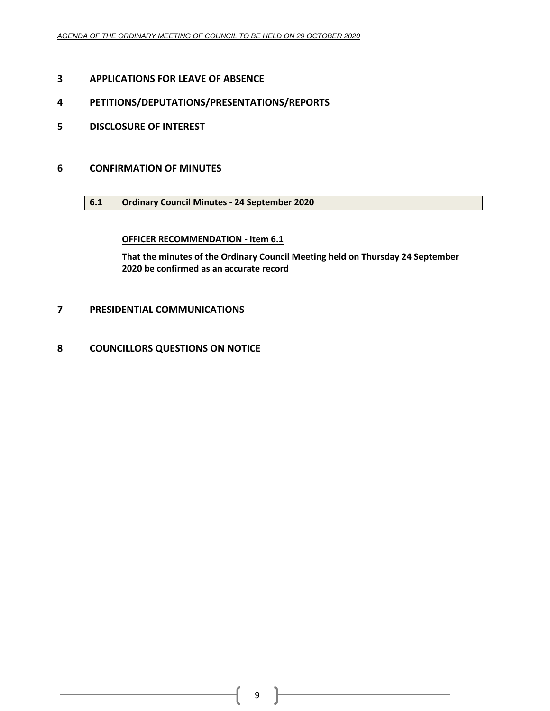- <span id="page-8-0"></span>**APPLICATIONS FOR LEAVE OF ABSENCE**
- <span id="page-8-1"></span>**PETITIONS/DEPUTATIONS/PRESENTATIONS/REPORTS**
- <span id="page-8-2"></span>**DISCLOSURE OF INTEREST**
- <span id="page-8-4"></span><span id="page-8-3"></span> **CONFIRMATION OF MINUTES**
	- **6.1 Ordinary Council Minutes - 24 September 2020**

# **OFFICER RECOMMENDATION - Item 6.1**

**That the minutes of the Ordinary Council Meeting held on Thursday 24 September be confirmed as an accurate record**

- <span id="page-8-5"></span>**PRESIDENTIAL COMMUNICATIONS**
- <span id="page-8-6"></span>**COUNCILLORS QUESTIONS ON NOTICE**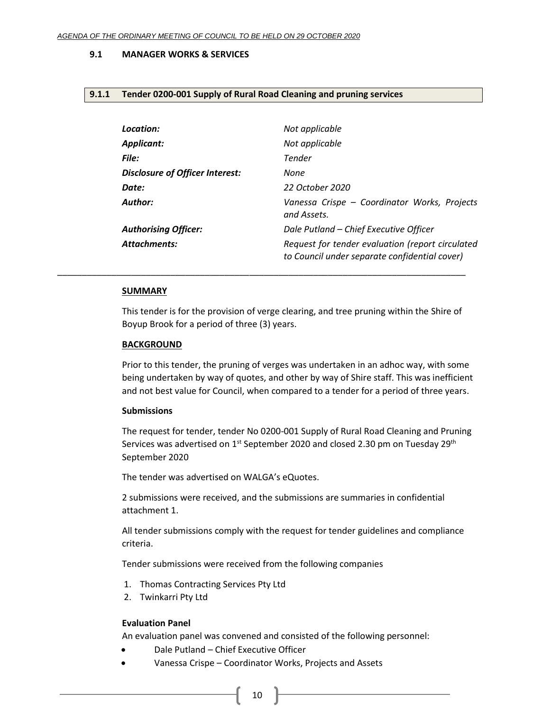### <span id="page-9-0"></span>**9.1 MANAGER WORKS & SERVICES**

#### <span id="page-9-1"></span>**9.1.1 Tender 0200-001 Supply of Rural Road Cleaning and pruning services**

| Location:                              | Not applicable                                                                                    |
|----------------------------------------|---------------------------------------------------------------------------------------------------|
| <b>Applicant:</b>                      | Not applicable                                                                                    |
| File:                                  | Tender                                                                                            |
| <b>Disclosure of Officer Interest:</b> | None                                                                                              |
| Date:                                  | 22 October 2020                                                                                   |
| Author:                                | Vanessa Crispe - Coordinator Works, Projects<br>and Assets.                                       |
| <b>Authorising Officer:</b>            | Dale Putland - Chief Executive Officer                                                            |
| <b>Attachments:</b>                    | Request for tender evaluation (report circulated<br>to Council under separate confidential cover) |

#### **SUMMARY**

This tender is for the provision of verge clearing, and tree pruning within the Shire of Boyup Brook for a period of three (3) years.

\_\_\_\_\_\_\_\_\_\_\_\_\_\_\_\_\_\_\_\_\_\_\_\_\_\_\_\_\_\_\_\_\_\_\_\_\_\_\_\_\_\_\_\_\_\_\_\_\_\_\_\_\_\_\_\_\_\_\_\_\_\_\_\_\_\_\_\_\_\_\_\_\_\_\_\_\_\_\_\_\_\_\_

#### **BACKGROUND**

Prior to this tender, the pruning of verges was undertaken in an adhoc way, with some being undertaken by way of quotes, and other by way of Shire staff. This was inefficient and not best value for Council, when compared to a tender for a period of three years.

### **Submissions**

The request for tender, tender No 0200-001 Supply of Rural Road Cleaning and Pruning Services was advertised on 1<sup>st</sup> September 2020 and closed 2.30 pm on Tuesday 29<sup>th</sup> September 2020

The tender was advertised on WALGA's eQuotes.

2 submissions were received, and the submissions are summaries in confidential attachment 1.

All tender submissions comply with the request for tender guidelines and compliance criteria.

Tender submissions were received from the following companies

- 1. Thomas Contracting Services Pty Ltd
- 2. Twinkarri Pty Ltd

#### **Evaluation Panel**

An evaluation panel was convened and consisted of the following personnel:

- Dale Putland Chief Executive Officer
- Vanessa Crispe Coordinator Works, Projects and Assets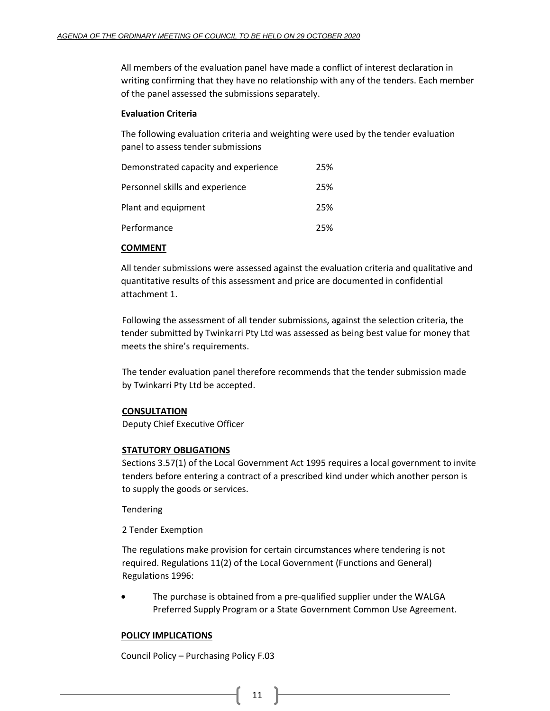All members of the evaluation panel have made a conflict of interest declaration in writing confirming that they have no relationship with any of the tenders. Each member of the panel assessed the submissions separately.

# **Evaluation Criteria**

The following evaluation criteria and weighting were used by the tender evaluation panel to assess tender submissions

| Demonstrated capacity and experience | 25% |
|--------------------------------------|-----|
| Personnel skills and experience      | 25% |
| Plant and equipment                  | 25% |
| Performance                          | 25% |

# **COMMENT**

All tender submissions were assessed against the evaluation criteria and qualitative and quantitative results of this assessment and price are documented in confidential attachment 1.

Following the assessment of all tender submissions, against the selection criteria, the tender submitted by Twinkarri Pty Ltd was assessed as being best value for money that meets the shire's requirements.

The tender evaluation panel therefore recommends that the tender submission made by Twinkarri Pty Ltd be accepted.

# **CONSULTATION**

Deputy Chief Executive Officer

# **STATUTORY OBLIGATIONS**

Sections 3.57(1) of the Local Government Act 1995 requires a local government to invite tenders before entering a contract of a prescribed kind under which another person is to supply the goods or services.

Tendering

2 Tender Exemption

The regulations make provision for certain circumstances where tendering is not required. Regulations 11(2) of the Local Government (Functions and General) Regulations 1996:

The purchase is obtained from a pre-qualified supplier under the WALGA Preferred Supply Program or a State Government Common Use Agreement.

# **POLICY IMPLICATIONS**

Council Policy – Purchasing Policy F.03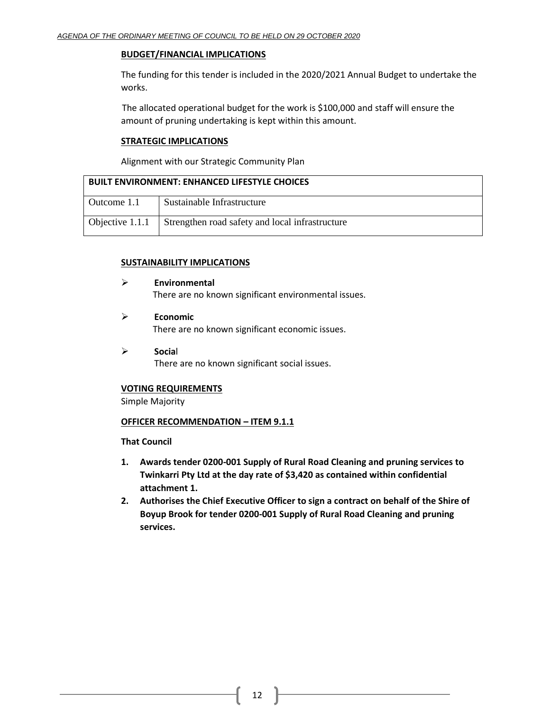### **BUDGET/FINANCIAL IMPLICATIONS**

The funding for this tender is included in the 2020/2021 Annual Budget to undertake the works.

The allocated operational budget for the work is \$100,000 and staff will ensure the amount of pruning undertaking is kept within this amount.

# **STRATEGIC IMPLICATIONS**

Alignment with our Strategic Community Plan

| <b>BUILT ENVIRONMENT: ENHANCED LIFESTYLE CHOICES</b> |                                                 |  |
|------------------------------------------------------|-------------------------------------------------|--|
| Outcome 1.1                                          | Sustainable Infrastructure                      |  |
| Objective 1.1.1                                      | Strengthen road safety and local infrastructure |  |

# **SUSTAINABILITY IMPLICATIONS**

- ➢ **Environmental** There are no known significant environmental issues.
- ➢ **Economic** There are no known significant economic issues.
- ➢ **Socia**l There are no known significant social issues.

# **VOTING REQUIREMENTS**

Simple Majority

# **OFFICER RECOMMENDATION – ITEM 9.1.1**

# **That Council**

- **1. Awards tender 0200-001 Supply of Rural Road Cleaning and pruning services to Twinkarri Pty Ltd at the day rate of \$3,420 as contained within confidential attachment 1.**
- **2. Authorises the Chief Executive Officer to sign a contract on behalf of the Shire of Boyup Brook for tender 0200-001 Supply of Rural Road Cleaning and pruning services.**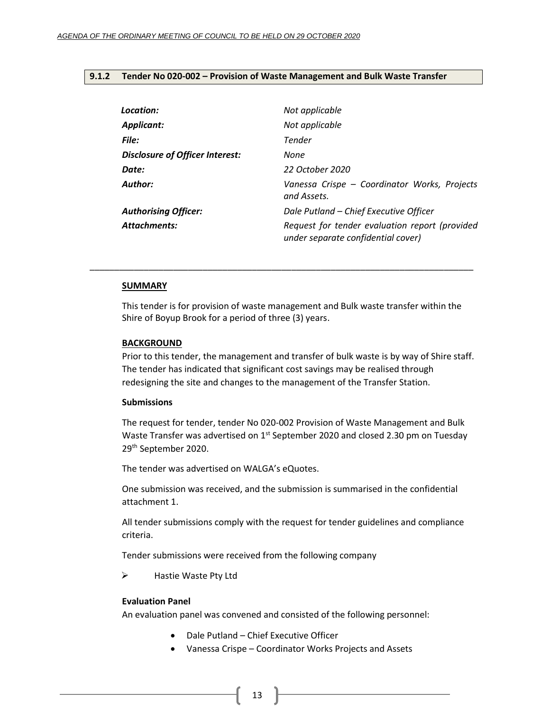### <span id="page-12-0"></span>**9.1.2 Tender No 020-002 – Provision of Waste Management and Bulk Waste Transfer**

| Location:                              | Not applicable                                                                       |
|----------------------------------------|--------------------------------------------------------------------------------------|
| <b>Applicant:</b>                      | Not applicable                                                                       |
| File:                                  | Tender                                                                               |
| <b>Disclosure of Officer Interest:</b> | None                                                                                 |
| Date:                                  | 22 October 2020                                                                      |
| Author:                                | Vanessa Crispe - Coordinator Works, Projects<br>and Assets.                          |
| <b>Authorising Officer:</b>            | Dale Putland - Chief Executive Officer                                               |
| <b>Attachments:</b>                    | Request for tender evaluation report (provided<br>under separate confidential cover) |

#### **SUMMARY**

This tender is for provision of waste management and Bulk waste transfer within the Shire of Boyup Brook for a period of three (3) years.

\_\_\_\_\_\_\_\_\_\_\_\_\_\_\_\_\_\_\_\_\_\_\_\_\_\_\_\_\_\_\_\_\_\_\_\_\_\_\_\_\_\_\_\_\_\_\_\_\_\_\_\_\_\_\_\_\_\_\_\_\_\_\_\_\_\_\_\_\_\_\_\_\_\_\_\_\_\_

#### **BACKGROUND**

Prior to this tender, the management and transfer of bulk waste is by way of Shire staff. The tender has indicated that significant cost savings may be realised through redesigning the site and changes to the management of the Transfer Station.

### **Submissions**

The request for tender, tender No 020-002 Provision of Waste Management and Bulk Waste Transfer was advertised on 1<sup>st</sup> September 2020 and closed 2.30 pm on Tuesday 29th September 2020.

The tender was advertised on WALGA's eQuotes.

One submission was received, and the submission is summarised in the confidential attachment 1.

All tender submissions comply with the request for tender guidelines and compliance criteria.

Tender submissions were received from the following company

➢ Hastie Waste Pty Ltd

#### **Evaluation Panel**

An evaluation panel was convened and consisted of the following personnel:

- Dale Putland Chief Executive Officer
- Vanessa Crispe Coordinator Works Projects and Assets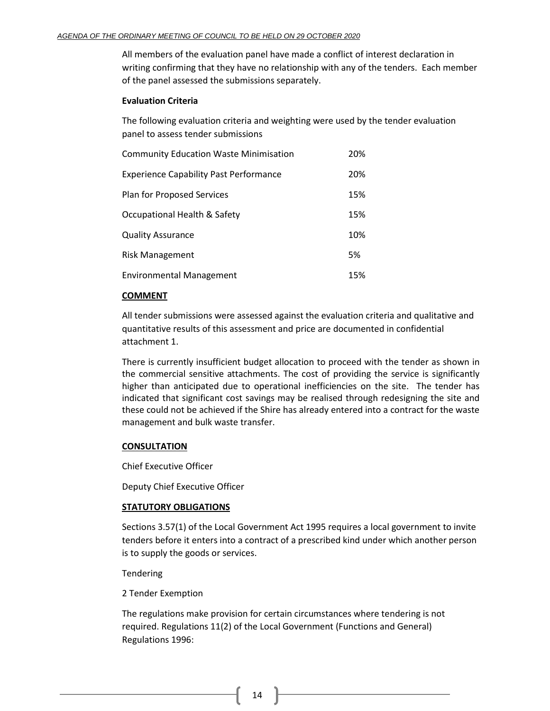All members of the evaluation panel have made a conflict of interest declaration in writing confirming that they have no relationship with any of the tenders. Each member of the panel assessed the submissions separately.

### **Evaluation Criteria**

The following evaluation criteria and weighting were used by the tender evaluation panel to assess tender submissions

| <b>Community Education Waste Minimisation</b> | 20% |
|-----------------------------------------------|-----|
| <b>Experience Capability Past Performance</b> | 20% |
| <b>Plan for Proposed Services</b>             | 15% |
| Occupational Health & Safety                  | 15% |
| <b>Quality Assurance</b>                      | 10% |
| <b>Risk Management</b>                        | 5%  |
| <b>Environmental Management</b>               | 15% |

### **COMMENT**

All tender submissions were assessed against the evaluation criteria and qualitative and quantitative results of this assessment and price are documented in confidential attachment 1.

There is currently insufficient budget allocation to proceed with the tender as shown in the commercial sensitive attachments. The cost of providing the service is significantly higher than anticipated due to operational inefficiencies on the site. The tender has indicated that significant cost savings may be realised through redesigning the site and these could not be achieved if the Shire has already entered into a contract for the waste management and bulk waste transfer.

# **CONSULTATION**

Chief Executive Officer

Deputy Chief Executive Officer

### **STATUTORY OBLIGATIONS**

Sections 3.57(1) of the Local Government Act 1995 requires a local government to invite tenders before it enters into a contract of a prescribed kind under which another person is to supply the goods or services.

Tendering

2 Tender Exemption

The regulations make provision for certain circumstances where tendering is not required. Regulations 11(2) of the Local Government (Functions and General) Regulations 1996: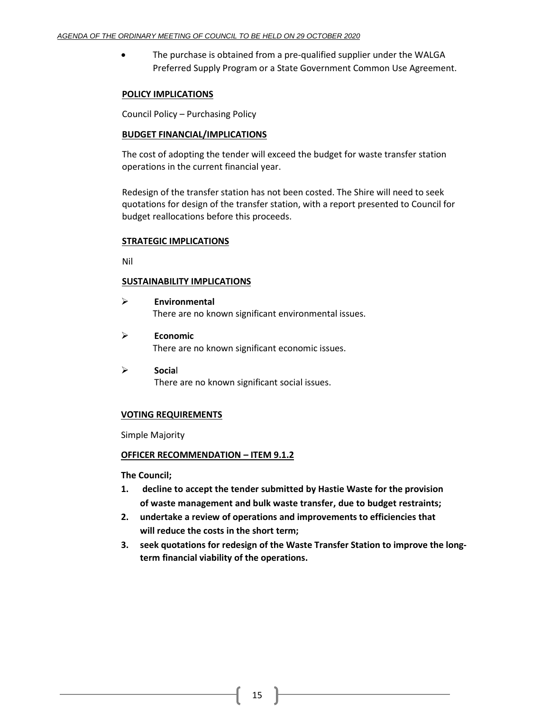• The purchase is obtained from a pre-qualified supplier under the WALGA Preferred Supply Program or a State Government Common Use Agreement.

### **POLICY IMPLICATIONS**

Council Policy – Purchasing Policy

### **BUDGET FINANCIAL/IMPLICATIONS**

The cost of adopting the tender will exceed the budget for waste transfer station operations in the current financial year.

Redesign of the transfer station has not been costed. The Shire will need to seek quotations for design of the transfer station, with a report presented to Council for budget reallocations before this proceeds.

# **STRATEGIC IMPLICATIONS**

Nil

# **SUSTAINABILITY IMPLICATIONS**

- ➢ **Environmental** There are no known significant environmental issues.
- ➢ **Economic** There are no known significant economic issues.
- ➢ **Socia**l There are no known significant social issues.

# **VOTING REQUIREMENTS**

Simple Majority

### **OFFICER RECOMMENDATION – ITEM 9.1.2**

**The Council;**

- **1. decline to accept the tender submitted by Hastie Waste for the provision of waste management and bulk waste transfer, due to budget restraints;**
- **2. undertake a review of operations and improvements to efficiencies that will reduce the costs in the short term;**
- **3. seek quotations for redesign of the Waste Transfer Station to improve the longterm financial viability of the operations.**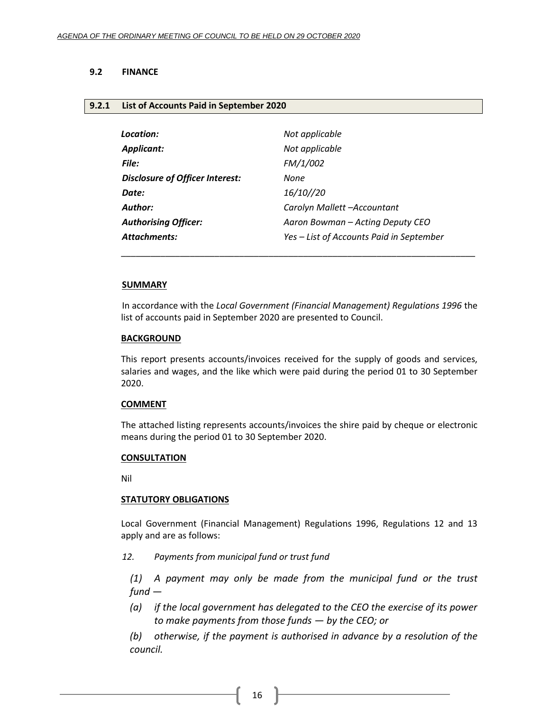# <span id="page-15-0"></span>**9.2 FINANCE**

### <span id="page-15-1"></span>**9.2.1 List of Accounts Paid in September 2020**

| Location:                              | Not applicable                           |
|----------------------------------------|------------------------------------------|
| <b>Applicant:</b>                      | Not applicable                           |
| File:                                  | FM/1/002                                 |
| <b>Disclosure of Officer Interest:</b> | None                                     |
| Date:                                  | 16/10//20                                |
| Author:                                | Carolyn Mallett -Accountant              |
| <b>Authorising Officer:</b>            | Aaron Bowman – Acting Deputy CEO         |
| <b>Attachments:</b>                    | Yes - List of Accounts Paid in September |

#### **SUMMARY**

In accordance with the *Local Government (Financial Management) Regulations 1996* the list of accounts paid in September 2020 are presented to Council.

\_\_\_\_\_\_\_\_\_\_\_\_\_\_\_\_\_\_\_\_\_\_\_\_\_\_\_\_\_\_\_\_\_\_\_\_\_\_\_\_\_\_\_\_\_\_\_\_\_\_\_\_\_\_\_\_\_\_\_\_\_\_\_\_\_\_\_\_\_\_\_\_

### **BACKGROUND**

This report presents accounts/invoices received for the supply of goods and services, salaries and wages, and the like which were paid during the period 01 to 30 September 2020.

#### **COMMENT**

The attached listing represents accounts/invoices the shire paid by cheque or electronic means during the period 01 to 30 September 2020.

### **CONSULTATION**

Nil

### **STATUTORY OBLIGATIONS**

Local Government (Financial Management) Regulations 1996, Regulations 12 and 13 apply and are as follows:

*12. Payments from municipal fund or trust fund*

*(1) A payment may only be made from the municipal fund or the trust fund —*

*(a) if the local government has delegated to the CEO the exercise of its power to make payments from those funds — by the CEO; or*

*(b) otherwise, if the payment is authorised in advance by a resolution of the council.*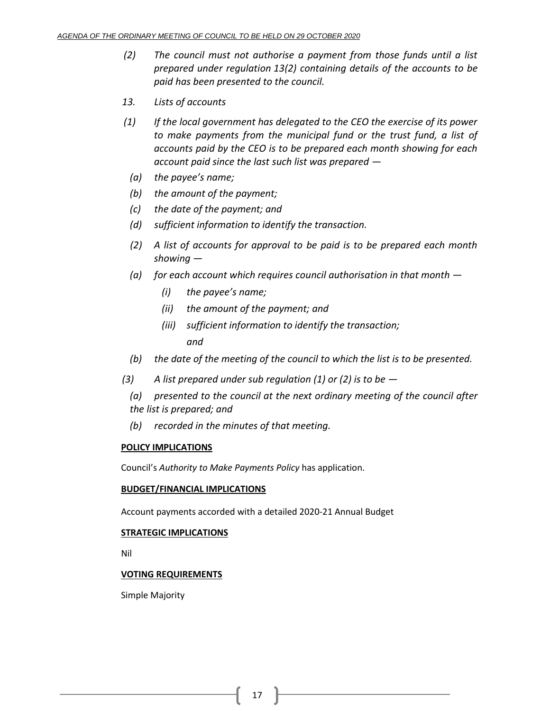- *(2) The council must not authorise a payment from those funds until a list prepared under regulation 13(2) containing details of the accounts to be paid has been presented to the council.*
- *13. Lists of accounts*
- *(1) If the local government has delegated to the CEO the exercise of its power to make payments from the municipal fund or the trust fund, a list of accounts paid by the CEO is to be prepared each month showing for each account paid since the last such list was prepared —*
	- *(a) the payee's name;*
	- *(b) the amount of the payment;*
	- *(c) the date of the payment; and*
	- *(d) sufficient information to identify the transaction.*
	- *(2) A list of accounts for approval to be paid is to be prepared each month showing —*
	- *(a) for each account which requires council authorisation in that month —*
		- *(i) the payee's name;*
		- *(ii) the amount of the payment; and*
		- *(iii) sufficient information to identify the transaction; and*
	- *(b) the date of the meeting of the council to which the list is to be presented.*
- *(3) A list prepared under sub regulation (1) or (2) is to be —*
	- *(a) presented to the council at the next ordinary meeting of the council after the list is prepared; and*
	- *(b) recorded in the minutes of that meeting.*

### **POLICY IMPLICATIONS**

Council's *Authority to Make Payments Policy* has application.

### **BUDGET/FINANCIAL IMPLICATIONS**

Account payments accorded with a detailed 2020-21 Annual Budget

# **STRATEGIC IMPLICATIONS**

Nil

# **VOTING REQUIREMENTS**

Simple Majority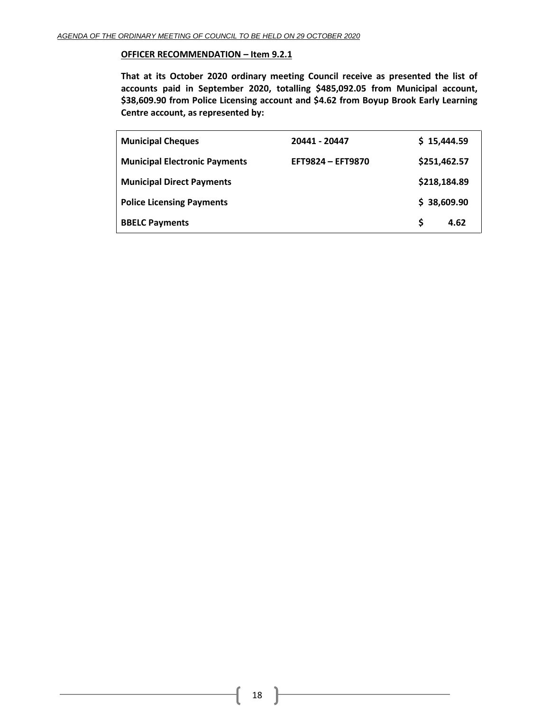### **OFFICER RECOMMENDATION – Item 9.2.1**

**That at its October 2020 ordinary meeting Council receive as presented the list of accounts paid in September 2020, totalling \$485,092.05 from Municipal account, \$38,609.90 from Police Licensing account and \$4.62 from Boyup Brook Early Learning Centre account, as represented by:**

| <b>Municipal Cheques</b>             | 20441 - 20447     | \$15,444.59  |      |
|--------------------------------------|-------------------|--------------|------|
| <b>Municipal Electronic Payments</b> | EFT9824 - EFT9870 | \$251,462.57 |      |
| <b>Municipal Direct Payments</b>     |                   | \$218,184.89 |      |
| <b>Police Licensing Payments</b>     |                   | \$38,609.90  |      |
| <b>BBELC Payments</b>                |                   | S            | 4.62 |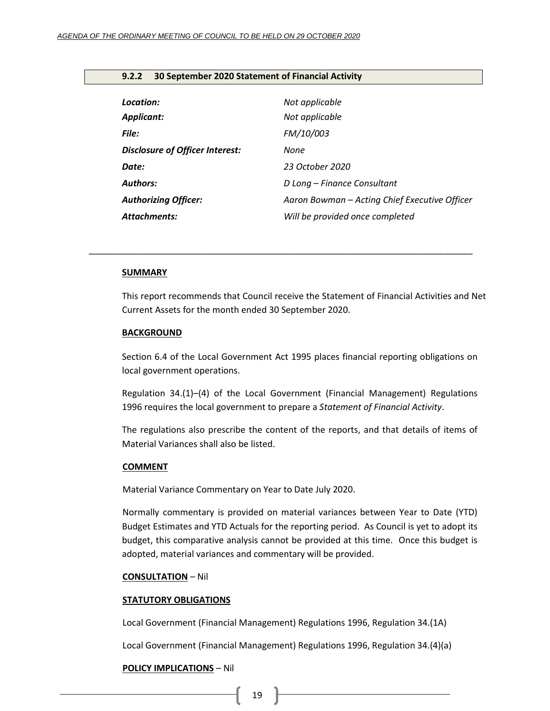### <span id="page-18-0"></span>**9.2.2 30 September 2020 Statement of Financial Activity**

| Location:                              | Not applicable                                |
|----------------------------------------|-----------------------------------------------|
| <b>Applicant:</b>                      | Not applicable                                |
| File:                                  | FM/10/003                                     |
| <b>Disclosure of Officer Interest:</b> | None                                          |
| Date:                                  | 23 October 2020                               |
| <b>Authors:</b>                        | D Long – Finance Consultant                   |
| <b>Authorizing Officer:</b>            | Aaron Bowman – Acting Chief Executive Officer |
| <b>Attachments:</b>                    | Will be provided once completed               |

*\_\_\_\_\_\_\_\_\_\_\_\_\_\_\_\_\_\_\_\_\_\_\_\_\_\_\_\_\_\_\_\_\_\_\_\_\_\_\_\_\_\_\_\_\_\_\_\_\_\_\_\_\_\_\_\_\_\_\_\_\_\_\_\_\_\_\_\_\_\_\_\_\_\_\_\_\_\_*

#### **SUMMARY**

This report recommends that Council receive the Statement of Financial Activities and Net Current Assets for the month ended 30 September 2020.

### **BACKGROUND**

Section 6.4 of the Local Government Act 1995 places financial reporting obligations on local government operations.

Regulation 34.(1)–(4) of the Local Government (Financial Management) Regulations 1996 requires the local government to prepare a *Statement of Financial Activity*.

The regulations also prescribe the content of the reports, and that details of items of Material Variances shall also be listed.

#### **COMMENT**

Material Variance Commentary on Year to Date July 2020.

Normally commentary is provided on material variances between Year to Date (YTD) Budget Estimates and YTD Actuals for the reporting period. As Council is yet to adopt its budget, this comparative analysis cannot be provided at this time. Once this budget is adopted, material variances and commentary will be provided.

#### **CONSULTATION** – Nil

#### **STATUTORY OBLIGATIONS**

Local Government (Financial Management) Regulations 1996, Regulation 34.(1A)

Local Government (Financial Management) Regulations 1996, Regulation 34.(4)(a)

#### **POLICY IMPLICATIONS** – Nil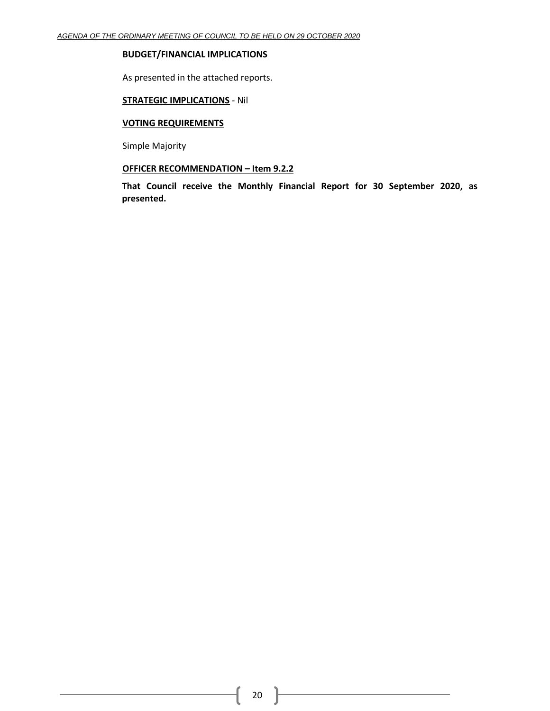### **BUDGET/FINANCIAL IMPLICATIONS**

As presented in the attached reports.

# **STRATEGIC IMPLICATIONS** - Nil

### **VOTING REQUIREMENTS**

Simple Majority

# **OFFICER RECOMMENDATION – Item 9.2.2**

**That Council receive the Monthly Financial Report for 30 September 2020, as presented.**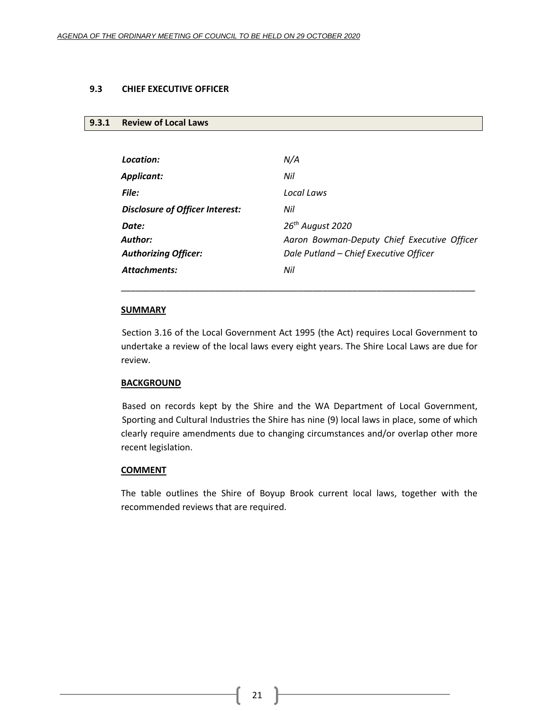### <span id="page-20-0"></span>**9.3 CHIEF EXECUTIVE OFFICER**

### <span id="page-20-1"></span>**9.3.1 Review of Local Laws**

| Location:                       | N/A                                         |
|---------------------------------|---------------------------------------------|
| Applicant:                      | Nil                                         |
| <b>File:</b>                    | Local Laws                                  |
| Disclosure of Officer Interest: | Nil                                         |
| Date:                           | 26 <sup>th</sup> August 2020                |
| Author:                         | Aaron Bowman-Deputy Chief Executive Officer |
| <b>Authorizing Officer:</b>     | Dale Putland - Chief Executive Officer      |
| <b>Attachments:</b>             | Nil                                         |
|                                 |                                             |

### **SUMMARY**

Section 3.16 of the Local Government Act 1995 (the Act) requires Local Government to undertake a review of the local laws every eight years. The Shire Local Laws are due for review.

\_\_\_\_\_\_\_\_\_\_\_\_\_\_\_\_\_\_\_\_\_\_\_\_\_\_\_\_\_\_\_\_\_\_\_\_\_\_\_\_\_\_\_\_\_\_\_\_\_\_\_\_\_\_\_\_\_\_\_\_\_\_\_\_\_\_\_\_\_\_\_\_

### **BACKGROUND**

Based on records kept by the Shire and the WA Department of Local Government, Sporting and Cultural Industries the Shire has nine (9) local laws in place, some of which clearly require amendments due to changing circumstances and/or overlap other more recent legislation.

#### **COMMENT**

The table outlines the Shire of Boyup Brook current local laws, together with the recommended reviews that are required.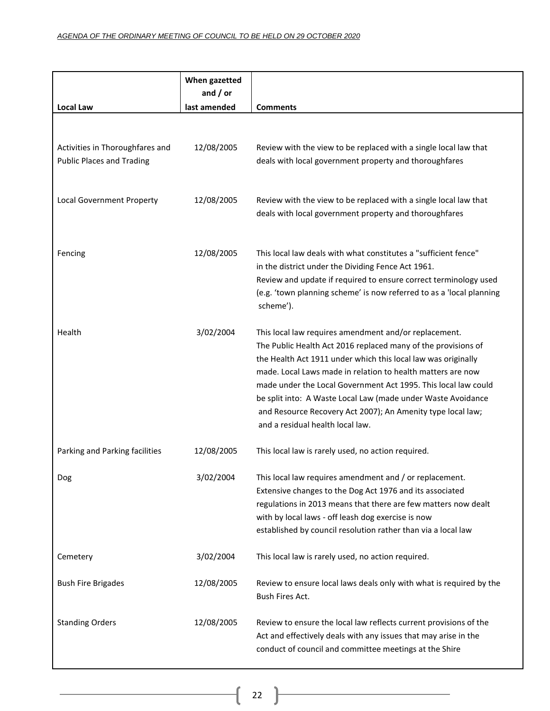| <b>Local Law</b>                                                    | When gazetted<br>and $/$ or<br>last amended | <b>Comments</b>                                                                                                                                                                                                                                                                                                                                                                                                                                                                             |
|---------------------------------------------------------------------|---------------------------------------------|---------------------------------------------------------------------------------------------------------------------------------------------------------------------------------------------------------------------------------------------------------------------------------------------------------------------------------------------------------------------------------------------------------------------------------------------------------------------------------------------|
|                                                                     |                                             |                                                                                                                                                                                                                                                                                                                                                                                                                                                                                             |
| Activities in Thoroughfares and<br><b>Public Places and Trading</b> | 12/08/2005                                  | Review with the view to be replaced with a single local law that<br>deals with local government property and thoroughfares                                                                                                                                                                                                                                                                                                                                                                  |
| Local Government Property                                           | 12/08/2005                                  | Review with the view to be replaced with a single local law that<br>deals with local government property and thoroughfares                                                                                                                                                                                                                                                                                                                                                                  |
| Fencing                                                             | 12/08/2005                                  | This local law deals with what constitutes a "sufficient fence"<br>in the district under the Dividing Fence Act 1961.<br>Review and update if required to ensure correct terminology used<br>(e.g. 'town planning scheme' is now referred to as a 'local planning<br>scheme').                                                                                                                                                                                                              |
| Health                                                              | 3/02/2004                                   | This local law requires amendment and/or replacement.<br>The Public Health Act 2016 replaced many of the provisions of<br>the Health Act 1911 under which this local law was originally<br>made. Local Laws made in relation to health matters are now<br>made under the Local Government Act 1995. This local law could<br>be split into: A Waste Local Law (made under Waste Avoidance<br>and Resource Recovery Act 2007); An Amenity type local law;<br>and a residual health local law. |
| Parking and Parking facilities                                      | 12/08/2005                                  | This local law is rarely used, no action required.                                                                                                                                                                                                                                                                                                                                                                                                                                          |
| Dog                                                                 | 3/02/2004                                   | This local law requires amendment and / or replacement.<br>Extensive changes to the Dog Act 1976 and its associated<br>regulations in 2013 means that there are few matters now dealt<br>with by local laws - off leash dog exercise is now<br>established by council resolution rather than via a local law                                                                                                                                                                                |
| Cemetery                                                            | 3/02/2004                                   | This local law is rarely used, no action required.                                                                                                                                                                                                                                                                                                                                                                                                                                          |
| <b>Bush Fire Brigades</b>                                           | 12/08/2005                                  | Review to ensure local laws deals only with what is required by the<br>Bush Fires Act.                                                                                                                                                                                                                                                                                                                                                                                                      |
| <b>Standing Orders</b>                                              | 12/08/2005                                  | Review to ensure the local law reflects current provisions of the<br>Act and effectively deals with any issues that may arise in the<br>conduct of council and committee meetings at the Shire                                                                                                                                                                                                                                                                                              |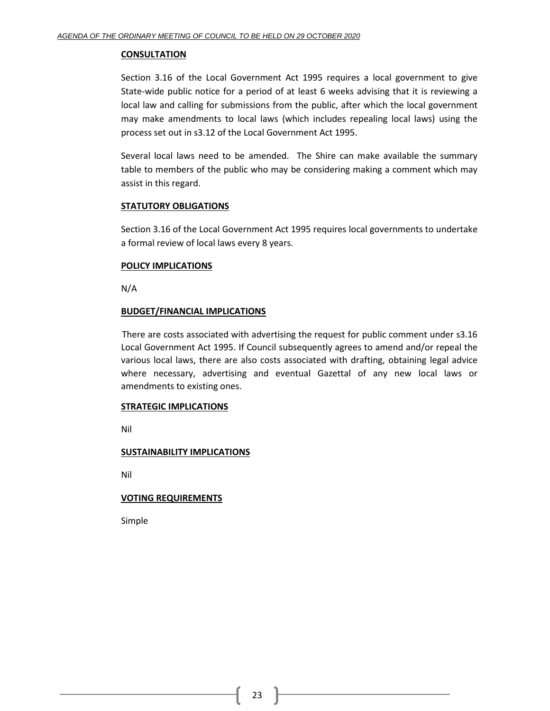### **CONSULTATION**

Section 3.16 of the Local Government Act 1995 requires a local government to give State-wide public notice for a period of at least 6 weeks advising that it is reviewing a local law and calling for submissions from the public, after which the local government may make amendments to local laws (which includes repealing local laws) using the process set out in s3.12 of the Local Government Act 1995.

Several local laws need to be amended. The Shire can make available the summary table to members of the public who may be considering making a comment which may assist in this regard.

# **STATUTORY OBLIGATIONS**

Section 3.16 of the Local Government Act 1995 requires local governments to undertake a formal review of local laws every 8 years.

# **POLICY IMPLICATIONS**

N/A

# **BUDGET/FINANCIAL IMPLICATIONS**

There are costs associated with advertising the request for public comment under s3.16 Local Government Act 1995. If Council subsequently agrees to amend and/or repeal the various local laws, there are also costs associated with drafting, obtaining legal advice where necessary, advertising and eventual Gazettal of any new local laws or amendments to existing ones.

### **STRATEGIC IMPLICATIONS**

Nil

# **SUSTAINABILITY IMPLICATIONS**

Nil

# **VOTING REQUIREMENTS**

Simple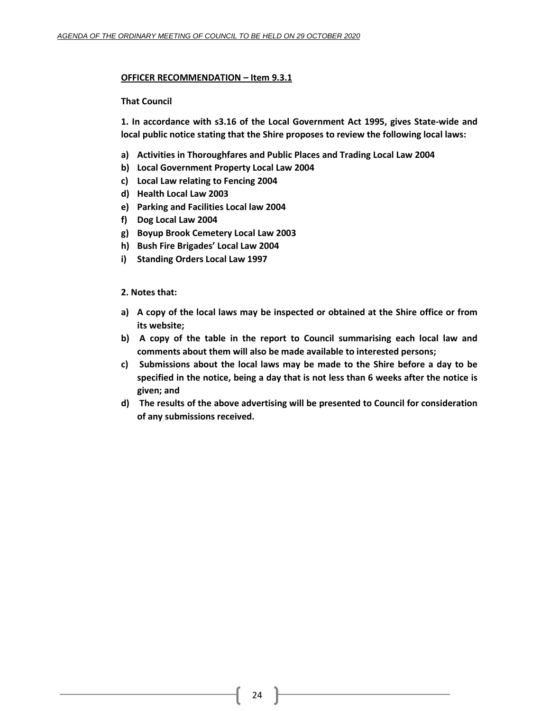# **OFFICER RECOMMENDATION – Item 9.3.1**

# **That Council**

**1. In accordance with s3.16 of the Local Government Act 1995, gives State-wide and local public notice stating that the Shire proposes to review the following local laws:** 

- **a) Activities in Thoroughfares and Public Places and Trading Local Law 2004**
- **b) Local Government Property Local Law 2004**
- **c) Local Law relating to Fencing 2004**
- **d) Health Local Law 2003**
- **e) Parking and Facilities Local law 2004**
- **f) Dog Local Law 2004**
- **g) Boyup Brook Cemetery Local Law 2003**
- **h) Bush Fire Brigades' Local Law 2004**
- **i) Standing Orders Local Law 1997**

# **2. Notes that:**

- **a) A copy of the local laws may be inspected or obtained at the Shire office or from its website;**
- **b) A copy of the table in the report to Council summarising each local law and comments about them will also be made available to interested persons;**
- **c) Submissions about the local laws may be made to the Shire before a day to be specified in the notice, being a day that is not less than 6 weeks after the notice is given; and**
- **d) The results of the above advertising will be presented to Council for consideration of any submissions received.**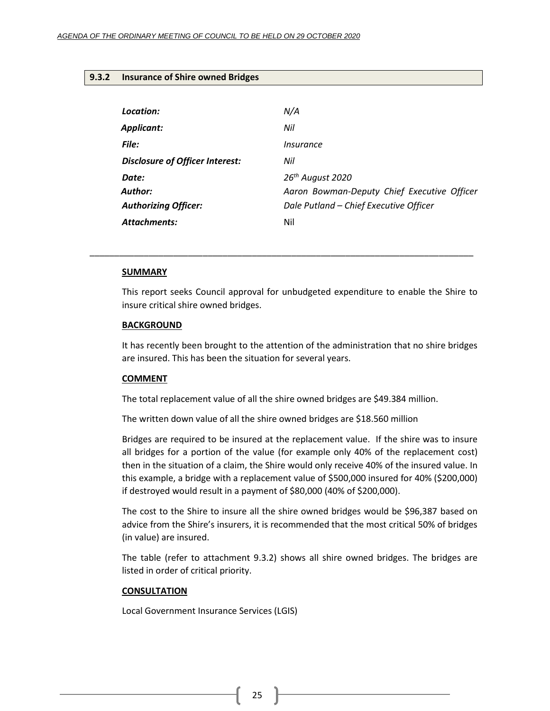### <span id="page-24-0"></span>**9.3.2 Insurance of Shire owned Bridges**

| Location:                              | N/A                                         |
|----------------------------------------|---------------------------------------------|
| Applicant:                             | Nil                                         |
| File:                                  | Insurance                                   |
| <b>Disclosure of Officer Interest:</b> | Nil                                         |
| Date:                                  | 26 <sup>th</sup> August 2020                |
| Author:                                | Aaron Bowman-Deputy Chief Executive Officer |
| <b>Authorizing Officer:</b>            | Dale Putland - Chief Executive Officer      |
| Attachments:                           | Nil                                         |

#### **SUMMARY**

This report seeks Council approval for unbudgeted expenditure to enable the Shire to insure critical shire owned bridges.

\_\_\_\_\_\_\_\_\_\_\_\_\_\_\_\_\_\_\_\_\_\_\_\_\_\_\_\_\_\_\_\_\_\_\_\_\_\_\_\_\_\_\_\_\_\_\_\_\_\_\_\_\_\_\_\_\_\_\_\_\_\_\_\_\_\_\_\_\_\_\_\_\_\_\_\_\_\_

### **BACKGROUND**

It has recently been brought to the attention of the administration that no shire bridges are insured. This has been the situation for several years.

#### **COMMENT**

The total replacement value of all the shire owned bridges are \$49.384 million.

The written down value of all the shire owned bridges are \$18.560 million

Bridges are required to be insured at the replacement value. If the shire was to insure all bridges for a portion of the value (for example only 40% of the replacement cost) then in the situation of a claim, the Shire would only receive 40% of the insured value. In this example, a bridge with a replacement value of \$500,000 insured for 40% (\$200,000) if destroyed would result in a payment of \$80,000 (40% of \$200,000).

The cost to the Shire to insure all the shire owned bridges would be \$96,387 based on advice from the Shire's insurers, it is recommended that the most critical 50% of bridges (in value) are insured.

The table (refer to attachment 9.3.2) shows all shire owned bridges. The bridges are listed in order of critical priority.

#### **CONSULTATION**

Local Government Insurance Services (LGIS)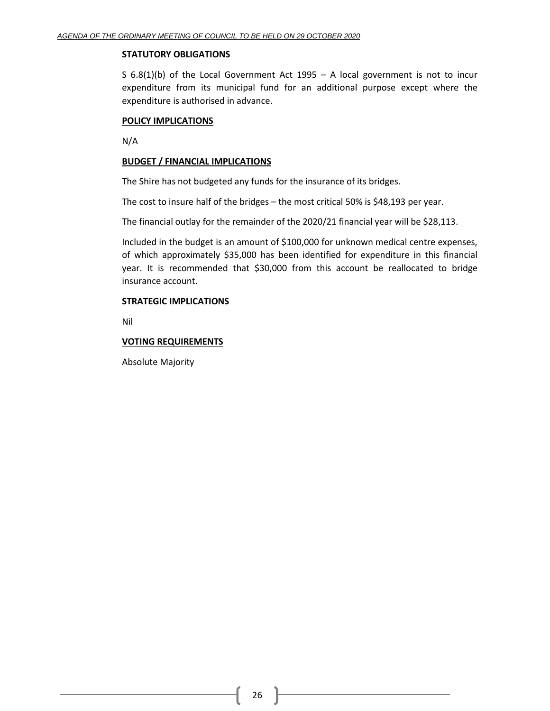### **STATUTORY OBLIGATIONS**

S 6.8(1)(b) of the Local Government Act 1995 – A local government is not to incur expenditure from its municipal fund for an additional purpose except where the expenditure is authorised in advance.

### **POLICY IMPLICATIONS**

N/A

# **BUDGET / FINANCIAL IMPLICATIONS**

The Shire has not budgeted any funds for the insurance of its bridges.

The cost to insure half of the bridges – the most critical 50% is \$48,193 per year.

The financial outlay for the remainder of the 2020/21 financial year will be \$28,113.

Included in the budget is an amount of \$100,000 for unknown medical centre expenses, of which approximately \$35,000 has been identified for expenditure in this financial year. It is recommended that \$30,000 from this account be reallocated to bridge insurance account.

# **STRATEGIC IMPLICATIONS**

Nil

# **VOTING REQUIREMENTS**

Absolute Majority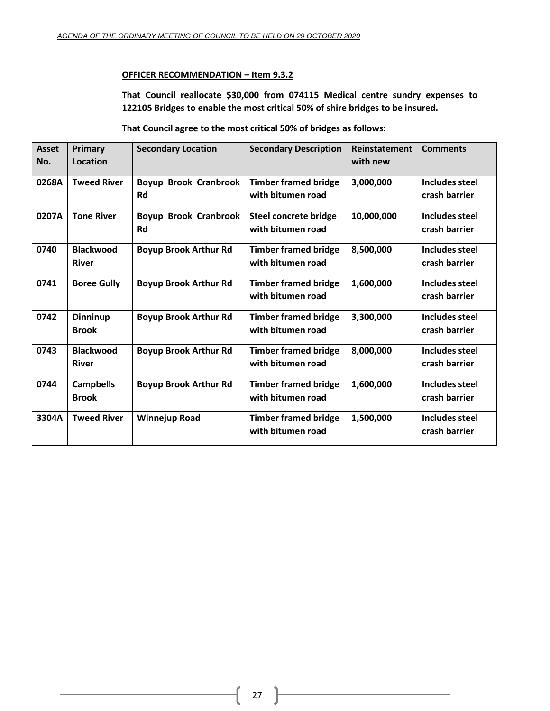# **OFFICER RECOMMENDATION – Item 9.3.2**

**That Council reallocate \$30,000 from 074115 Medical centre sundry expenses to 122105 Bridges to enable the most critical 50% of shire bridges to be insured.**

**That Council agree to the most critical 50% of bridges as follows:**

| <b>Asset</b> | Primary            | <b>Secondary Location</b>    | <b>Secondary Description</b> | Reinstatement | <b>Comments</b>       |
|--------------|--------------------|------------------------------|------------------------------|---------------|-----------------------|
| No.          | <b>Location</b>    |                              |                              | with new      |                       |
| 0268A        | <b>Tweed River</b> | <b>Boyup Brook Cranbrook</b> | <b>Timber framed bridge</b>  | 3,000,000     | Includes steel        |
|              |                    | <b>Rd</b>                    | with bitumen road            |               | crash barrier         |
| 0207A        | <b>Tone River</b>  | <b>Boyup Brook Cranbrook</b> | <b>Steel concrete bridge</b> | 10,000,000    | Includes steel        |
|              |                    | <b>Rd</b>                    | with bitumen road            |               | crash barrier         |
| 0740         | <b>Blackwood</b>   | <b>Boyup Brook Arthur Rd</b> | <b>Timber framed bridge</b>  | 8,500,000     | Includes steel        |
|              | <b>River</b>       |                              | with bitumen road            |               | crash barrier         |
| 0741         | <b>Boree Gully</b> | <b>Boyup Brook Arthur Rd</b> | <b>Timber framed bridge</b>  | 1,600,000     | Includes steel        |
|              |                    |                              | with bitumen road            |               | crash barrier         |
| 0742         | Dinninup           | <b>Boyup Brook Arthur Rd</b> | <b>Timber framed bridge</b>  | 3,300,000     | <b>Includes steel</b> |
|              | <b>Brook</b>       |                              | with bitumen road            |               | crash barrier         |
| 0743         | <b>Blackwood</b>   | <b>Boyup Brook Arthur Rd</b> | <b>Timber framed bridge</b>  | 8,000,000     | Includes steel        |
|              | <b>River</b>       |                              | with bitumen road            |               | crash barrier         |
| 0744         | <b>Campbells</b>   | <b>Boyup Brook Arthur Rd</b> | <b>Timber framed bridge</b>  | 1,600,000     | <b>Includes steel</b> |
|              | <b>Brook</b>       |                              | with bitumen road            |               | crash barrier         |
| 3304A        | <b>Tweed River</b> | <b>Winnejup Road</b>         | <b>Timber framed bridge</b>  | 1,500,000     | <b>Includes steel</b> |
|              |                    |                              | with bitumen road            |               | crash barrier         |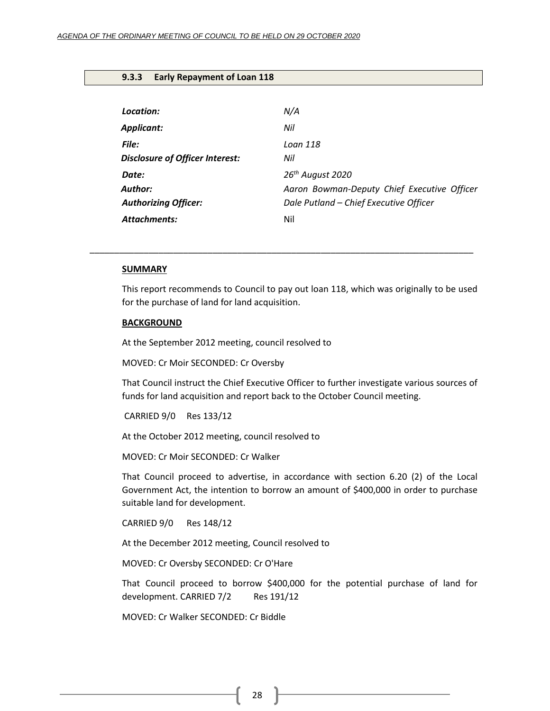### <span id="page-27-0"></span>**9.3.3 Early Repayment of Loan 118**

| Location:                              | N/A                                         |
|----------------------------------------|---------------------------------------------|
| Applicant:                             | Nil                                         |
| File:                                  | Loan 118                                    |
| <b>Disclosure of Officer Interest:</b> | Nil                                         |
| Date:                                  | 26 <sup>th</sup> August 2020                |
| Author:                                | Aaron Bowman-Deputy Chief Executive Officer |
| <b>Authorizing Officer:</b>            | Dale Putland - Chief Executive Officer      |
| <b>Attachments:</b>                    | Nil                                         |

#### **SUMMARY**

This report recommends to Council to pay out loan 118, which was originally to be used for the purchase of land for land acquisition.

\_\_\_\_\_\_\_\_\_\_\_\_\_\_\_\_\_\_\_\_\_\_\_\_\_\_\_\_\_\_\_\_\_\_\_\_\_\_\_\_\_\_\_\_\_\_\_\_\_\_\_\_\_\_\_\_\_\_\_\_\_\_\_\_\_\_\_\_\_\_\_\_\_\_\_\_\_\_

#### **BACKGROUND**

At the September 2012 meeting, council resolved to

MOVED: Cr Moir SECONDED: Cr Oversby

That Council instruct the Chief Executive Officer to further investigate various sources of funds for land acquisition and report back to the October Council meeting.

CARRIED 9/0 Res 133/12

At the October 2012 meeting, council resolved to

MOVED: Cr Moir SECONDED: Cr Walker

That Council proceed to advertise, in accordance with section 6.20 (2) of the Local Government Act, the intention to borrow an amount of \$400,000 in order to purchase suitable land for development.

CARRIED 9/0 Res 148/12

At the December 2012 meeting, Council resolved to

MOVED: Cr Oversby SECONDED: Cr O'Hare

That Council proceed to borrow \$400,000 for the potential purchase of land for development. CARRIED 7/2 Res 191/12

MOVED: Cr Walker SECONDED: Cr Biddle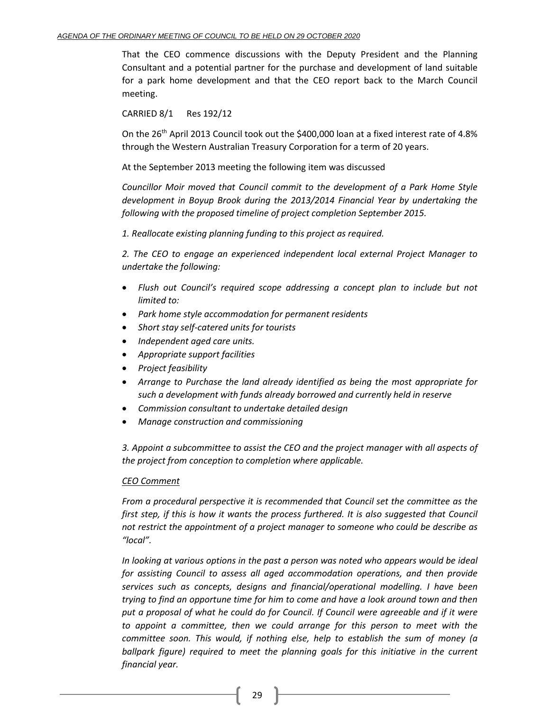That the CEO commence discussions with the Deputy President and the Planning Consultant and a potential partner for the purchase and development of land suitable for a park home development and that the CEO report back to the March Council meeting.

CARRIED 8/1 Res 192/12

On the 26<sup>th</sup> April 2013 Council took out the \$400,000 loan at a fixed interest rate of 4.8% through the Western Australian Treasury Corporation for a term of 20 years.

At the September 2013 meeting the following item was discussed

*Councillor Moir moved that Council commit to the development of a Park Home Style development in Boyup Brook during the 2013/2014 Financial Year by undertaking the following with the proposed timeline of project completion September 2015.* 

*1. Reallocate existing planning funding to this project as required.*

*2. The CEO to engage an experienced independent local external Project Manager to undertake the following:*

- *Flush out Council's required scope addressing a concept plan to include but not limited to:*
- *Park home style accommodation for permanent residents*
- *Short stay self-catered units for tourists*
- *Independent aged care units.*
- *Appropriate support facilities*
- *Project feasibility*
- *Arrange to Purchase the land already identified as being the most appropriate for such a development with funds already borrowed and currently held in reserve*
- *Commission consultant to undertake detailed design*
- *Manage construction and commissioning*

*3. Appoint a subcommittee to assist the CEO and the project manager with all aspects of the project from conception to completion where applicable.* 

# *CEO Comment*

*From a procedural perspective it is recommended that Council set the committee as the first step, if this is how it wants the process furthered. It is also suggested that Council not restrict the appointment of a project manager to someone who could be describe as "local".*

*In looking at various options in the past a person was noted who appears would be ideal for assisting Council to assess all aged accommodation operations, and then provide services such as concepts, designs and financial/operational modelling. I have been trying to find an opportune time for him to come and have a look around town and then put a proposal of what he could do for Council. If Council were agreeable and if it were to appoint a committee, then we could arrange for this person to meet with the committee soon. This would, if nothing else, help to establish the sum of money (a ballpark figure) required to meet the planning goals for this initiative in the current financial year.*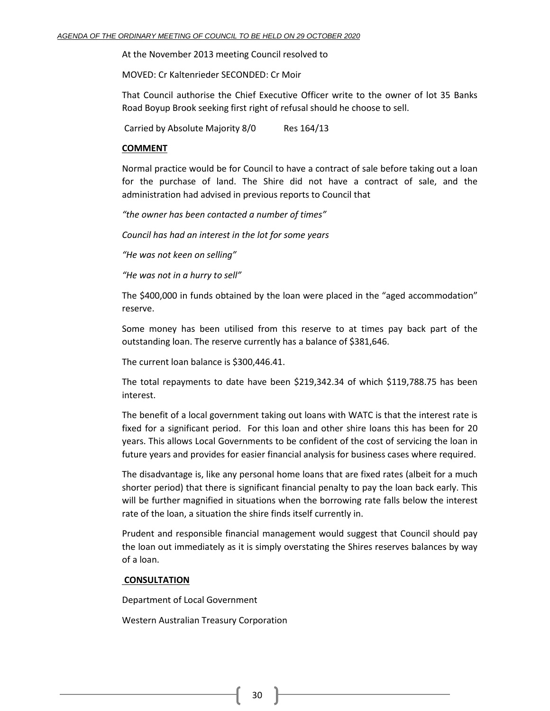At the November 2013 meeting Council resolved to

MOVED: Cr Kaltenrieder SECONDED: Cr Moir

That Council authorise the Chief Executive Officer write to the owner of lot 35 Banks Road Boyup Brook seeking first right of refusal should he choose to sell.

Carried by Absolute Majority 8/0 Res 164/13

### **COMMENT**

Normal practice would be for Council to have a contract of sale before taking out a loan for the purchase of land. The Shire did not have a contract of sale, and the administration had advised in previous reports to Council that

*"the owner has been contacted a number of times"*

*Council has had an interest in the lot for some years*

*"He was not keen on selling"*

*"He was not in a hurry to sell"*

The \$400,000 in funds obtained by the loan were placed in the "aged accommodation" reserve.

Some money has been utilised from this reserve to at times pay back part of the outstanding loan. The reserve currently has a balance of \$381,646.

The current loan balance is \$300,446.41.

The total repayments to date have been \$219,342.34 of which \$119,788.75 has been interest.

The benefit of a local government taking out loans with WATC is that the interest rate is fixed for a significant period. For this loan and other shire loans this has been for 20 years. This allows Local Governments to be confident of the cost of servicing the loan in future years and provides for easier financial analysis for business cases where required.

The disadvantage is, like any personal home loans that are fixed rates (albeit for a much shorter period) that there is significant financial penalty to pay the loan back early. This will be further magnified in situations when the borrowing rate falls below the interest rate of the loan, a situation the shire finds itself currently in.

Prudent and responsible financial management would suggest that Council should pay the loan out immediately as it is simply overstating the Shires reserves balances by way of a loan.

#### **CONSULTATION**

Department of Local Government

Western Australian Treasury Corporation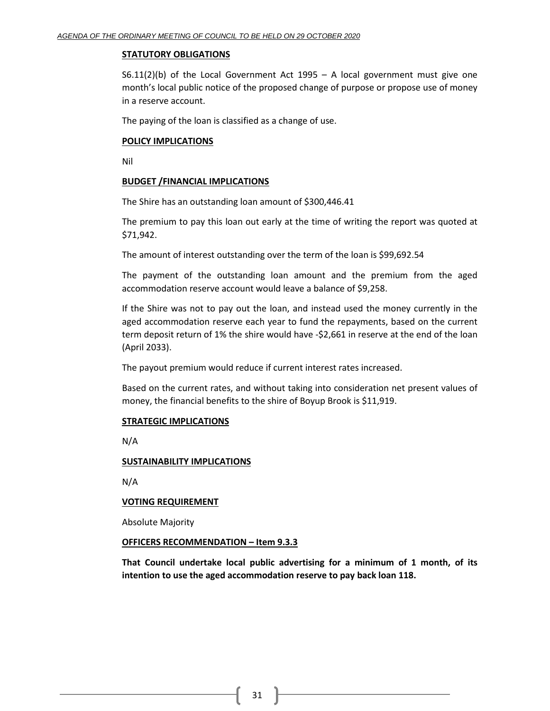### **STATUTORY OBLIGATIONS**

S6.11(2)(b) of the Local Government Act 1995 – A local government must give one month's local public notice of the proposed change of purpose or propose use of money in a reserve account.

The paying of the loan is classified as a change of use.

# **POLICY IMPLICATIONS**

Nil

# **BUDGET /FINANCIAL IMPLICATIONS**

The Shire has an outstanding loan amount of \$300,446.41

The premium to pay this loan out early at the time of writing the report was quoted at \$71,942.

The amount of interest outstanding over the term of the loan is \$99,692.54

The payment of the outstanding loan amount and the premium from the aged accommodation reserve account would leave a balance of \$9,258.

If the Shire was not to pay out the loan, and instead used the money currently in the aged accommodation reserve each year to fund the repayments, based on the current term deposit return of 1% the shire would have -\$2,661 in reserve at the end of the loan (April 2033).

The payout premium would reduce if current interest rates increased.

Based on the current rates, and without taking into consideration net present values of money, the financial benefits to the shire of Boyup Brook is \$11,919.

# **STRATEGIC IMPLICATIONS**

N/A

# **SUSTAINABILITY IMPLICATIONS**

N/A

# **VOTING REQUIREMENT**

Absolute Majority

### **OFFICERS RECOMMENDATION – Item 9.3.3**

**That Council undertake local public advertising for a minimum of 1 month, of its intention to use the aged accommodation reserve to pay back loan 118.**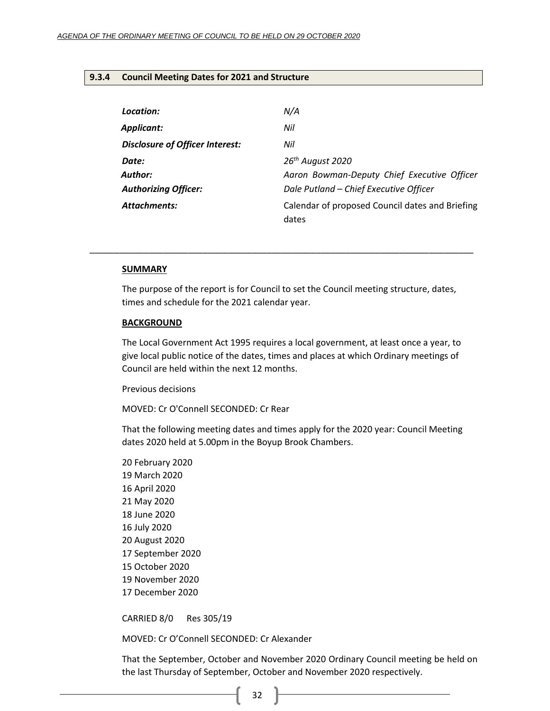### <span id="page-31-0"></span>**9.3.4 Council Meeting Dates for 2021 and Structure**

| Location:                              | N/A                                                      |
|----------------------------------------|----------------------------------------------------------|
| Applicant:                             | Nil                                                      |
| <b>Disclosure of Officer Interest:</b> | Nil                                                      |
| Date:                                  | 26 <sup>th</sup> August 2020                             |
| Author:                                | Aaron Bowman-Deputy Chief Executive Officer              |
| <b>Authorizing Officer:</b>            | Dale Putland - Chief Executive Officer                   |
| Attachments:                           | Calendar of proposed Council dates and Briefing<br>dates |

#### **SUMMARY**

The purpose of the report is for Council to set the Council meeting structure, dates, times and schedule for the 2021 calendar year.

\_\_\_\_\_\_\_\_\_\_\_\_\_\_\_\_\_\_\_\_\_\_\_\_\_\_\_\_\_\_\_\_\_\_\_\_\_\_\_\_\_\_\_\_\_\_\_\_\_\_\_\_\_\_\_\_\_\_\_\_\_\_\_\_\_\_\_\_\_\_\_\_\_\_\_\_\_\_

#### **BACKGROUND**

The Local Government Act 1995 requires a local government, at least once a year, to give local public notice of the dates, times and places at which Ordinary meetings of Council are held within the next 12 months.

Previous decisions

MOVED: Cr O'Connell SECONDED: Cr Rear

That the following meeting dates and times apply for the 2020 year: Council Meeting dates 2020 held at 5.00pm in the Boyup Brook Chambers.

CARRIED 8/0 Res 305/19

MOVED: Cr O'Connell SECONDED: Cr Alexander

That the September, October and November 2020 Ordinary Council meeting be held on the last Thursday of September, October and November 2020 respectively.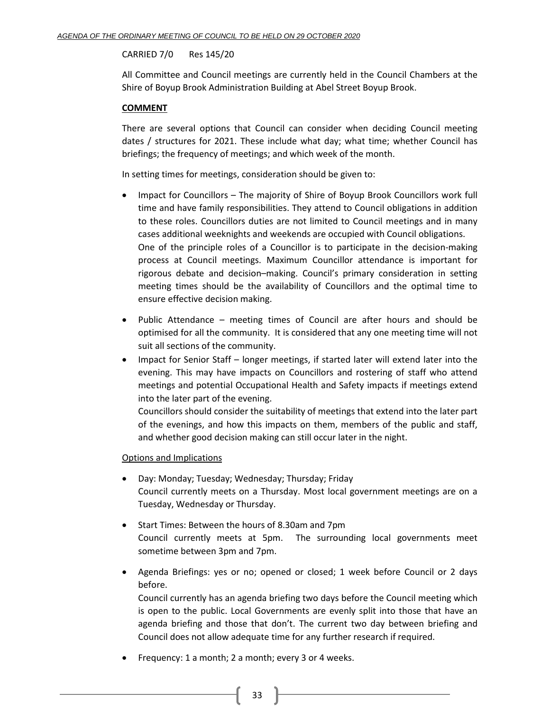# CARRIED 7/0 Res 145/20

All Committee and Council meetings are currently held in the Council Chambers at the Shire of Boyup Brook Administration Building at Abel Street Boyup Brook.

# **COMMENT**

There are several options that Council can consider when deciding Council meeting dates / structures for 2021. These include what day; what time; whether Council has briefings; the frequency of meetings; and which week of the month.

In setting times for meetings, consideration should be given to:

- Impact for Councillors The majority of Shire of Boyup Brook Councillors work full time and have family responsibilities. They attend to Council obligations in addition to these roles. Councillors duties are not limited to Council meetings and in many cases additional weeknights and weekends are occupied with Council obligations. One of the principle roles of a Councillor is to participate in the decision-making process at Council meetings. Maximum Councillor attendance is important for rigorous debate and decision–making. Council's primary consideration in setting meeting times should be the availability of Councillors and the optimal time to ensure effective decision making.
- Public Attendance meeting times of Council are after hours and should be optimised for all the community. It is considered that any one meeting time will not suit all sections of the community.
- Impact for Senior Staff longer meetings, if started later will extend later into the evening. This may have impacts on Councillors and rostering of staff who attend meetings and potential Occupational Health and Safety impacts if meetings extend into the later part of the evening.

Councillors should consider the suitability of meetings that extend into the later part of the evenings, and how this impacts on them, members of the public and staff, and whether good decision making can still occur later in the night.

# Options and Implications

- Day: Monday; Tuesday; Wednesday; Thursday; Friday Council currently meets on a Thursday. Most local government meetings are on a Tuesday, Wednesday or Thursday.
- Start Times: Between the hours of 8.30am and 7pm Council currently meets at 5pm. The surrounding local governments meet sometime between 3pm and 7pm.
- Agenda Briefings: yes or no; opened or closed; 1 week before Council or 2 days before.

Council currently has an agenda briefing two days before the Council meeting which is open to the public. Local Governments are evenly split into those that have an agenda briefing and those that don't. The current two day between briefing and Council does not allow adequate time for any further research if required.

• Frequency: 1 a month; 2 a month; every 3 or 4 weeks.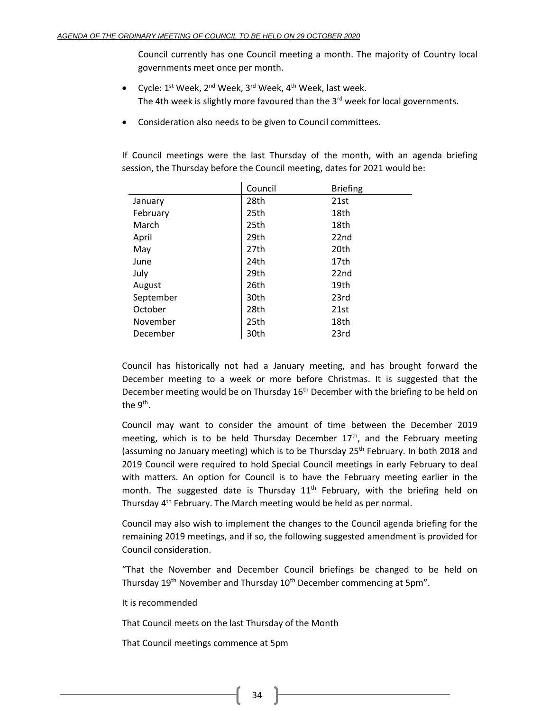Council currently has one Council meeting a month. The majority of Country local governments meet once per month.

- Cycle:  $1^{st}$  Week,  $2^{nd}$  Week,  $3^{rd}$  Week,  $4^{th}$  Week, last week. The 4th week is slightly more favoured than the 3<sup>rd</sup> week for local governments.
- Consideration also needs to be given to Council committees.

If Council meetings were the last Thursday of the month, with an agenda briefing session, the Thursday before the Council meeting, dates for 2021 would be:

|           | Council | <b>Briefing</b> |
|-----------|---------|-----------------|
| January   | 28th    | 21st            |
| February  | 25th    | 18th            |
| March     | 25th    | 18th            |
| April     | 29th    | 22nd            |
| May       | 27th    | 20th            |
| June      | 24th    | 17th            |
| July      | 29th    | 22nd            |
| August    | 26th    | 19th            |
| September | 30th    | 23rd            |
| October   | 28th    | 21st            |
| November  | 25th    | 18th            |
| December  | 30th    | 23rd            |

Council has historically not had a January meeting, and has brought forward the December meeting to a week or more before Christmas. It is suggested that the December meeting would be on Thursday  $16<sup>th</sup>$  December with the briefing to be held on the 9<sup>th</sup>.

Council may want to consider the amount of time between the December 2019 meeting, which is to be held Thursday December  $17<sup>th</sup>$ , and the February meeting (assuming no January meeting) which is to be Thursday  $25<sup>th</sup>$  February. In both 2018 and 2019 Council were required to hold Special Council meetings in early February to deal with matters. An option for Council is to have the February meeting earlier in the month. The suggested date is Thursday  $11<sup>th</sup>$  February, with the briefing held on Thursday 4<sup>th</sup> February. The March meeting would be held as per normal.

Council may also wish to implement the changes to the Council agenda briefing for the remaining 2019 meetings, and if so, the following suggested amendment is provided for Council consideration.

"That the November and December Council briefings be changed to be held on Thursday 19<sup>th</sup> November and Thursday 10<sup>th</sup> December commencing at 5pm".

It is recommended

That Council meets on the last Thursday of the Month

That Council meetings commence at 5pm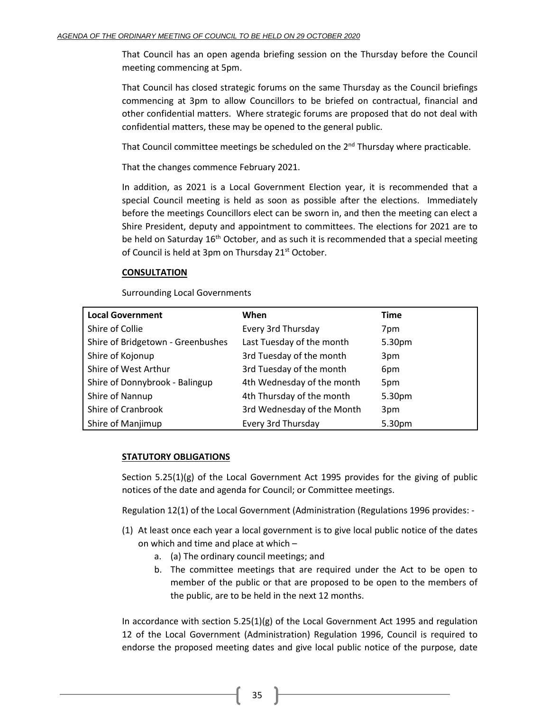That Council has an open agenda briefing session on the Thursday before the Council meeting commencing at 5pm.

That Council has closed strategic forums on the same Thursday as the Council briefings commencing at 3pm to allow Councillors to be briefed on contractual, financial and other confidential matters. Where strategic forums are proposed that do not deal with confidential matters, these may be opened to the general public.

That Council committee meetings be scheduled on the  $2<sup>nd</sup>$  Thursday where practicable.

That the changes commence February 2021.

In addition, as 2021 is a Local Government Election year, it is recommended that a special Council meeting is held as soon as possible after the elections. Immediately before the meetings Councillors elect can be sworn in, and then the meeting can elect a Shire President, deputy and appointment to committees. The elections for 2021 are to be held on Saturday  $16<sup>th</sup>$  October, and as such it is recommended that a special meeting of Council is held at 3pm on Thursday 21<sup>st</sup> October.

# **CONSULTATION**

Surrounding Local Governments

| <b>Local Government</b>           | When                       | <b>Time</b> |
|-----------------------------------|----------------------------|-------------|
| Shire of Collie                   | Every 3rd Thursday         | 7pm         |
| Shire of Bridgetown - Greenbushes | Last Tuesday of the month  | 5.30pm      |
| Shire of Kojonup                  | 3rd Tuesday of the month   | 3pm         |
| Shire of West Arthur              | 3rd Tuesday of the month   | 6pm         |
| Shire of Donnybrook - Balingup    | 4th Wednesday of the month | 5pm         |
| Shire of Nannup                   | 4th Thursday of the month  | 5.30pm      |
| Shire of Cranbrook                | 3rd Wednesday of the Month | 3pm         |
| Shire of Manjimup                 | Every 3rd Thursday         | 5.30pm      |

# **STATUTORY OBLIGATIONS**

Section 5.25(1)(g) of the Local Government Act 1995 provides for the giving of public notices of the date and agenda for Council; or Committee meetings.

Regulation 12(1) of the Local Government (Administration (Regulations 1996 provides: -

- (1) At least once each year a local government is to give local public notice of the dates on which and time and place at which –
	- a. (a) The ordinary council meetings; and
	- b. The committee meetings that are required under the Act to be open to member of the public or that are proposed to be open to the members of the public, are to be held in the next 12 months.

In accordance with section  $5.25(1)(g)$  of the Local Government Act 1995 and regulation 12 of the Local Government (Administration) Regulation 1996, Council is required to endorse the proposed meeting dates and give local public notice of the purpose, date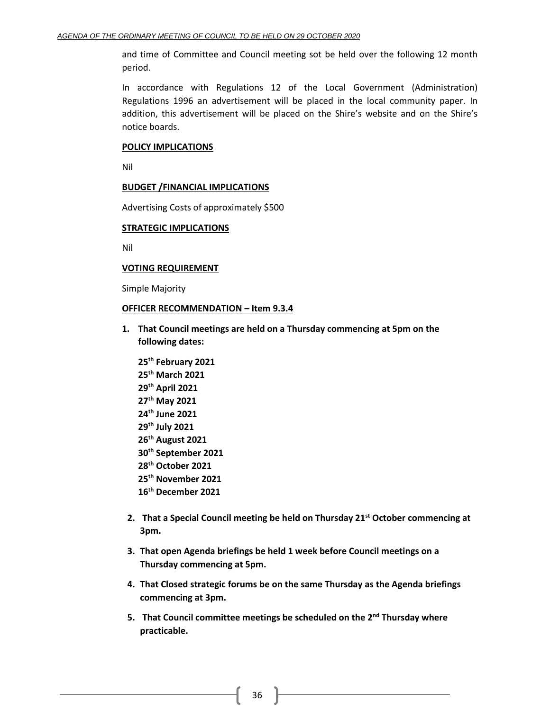and time of Committee and Council meeting sot be held over the following 12 month period.

In accordance with Regulations 12 of the Local Government (Administration) Regulations 1996 an advertisement will be placed in the local community paper. In addition, this advertisement will be placed on the Shire's website and on the Shire's notice boards.

#### **POLICY IMPLICATIONS**

Nil

### **BUDGET /FINANCIAL IMPLICATIONS**

Advertising Costs of approximately \$500

#### **STRATEGIC IMPLICATIONS**

Nil

#### **VOTING REQUIREMENT**

Simple Majority

### **OFFICER RECOMMENDATION – Item 9.3.4**

- **1. That Council meetings are held on a Thursday commencing at 5pm on the following dates:**
	- **25th February 2021 25th March 2021 29th April 2021 27th May 2021 24th June 2021 29th July 2021 26th August 2021 30th September 2021 28th October 2021 25th November 2021 16th December 2021**
- **2. That a Special Council meeting be held on Thursday 21st October commencing at 3pm.**
- **3. That open Agenda briefings be held 1 week before Council meetings on a Thursday commencing at 5pm.**
- **4. That Closed strategic forums be on the same Thursday as the Agenda briefings commencing at 3pm.**
- **5. That Council committee meetings be scheduled on the 2nd Thursday where practicable.**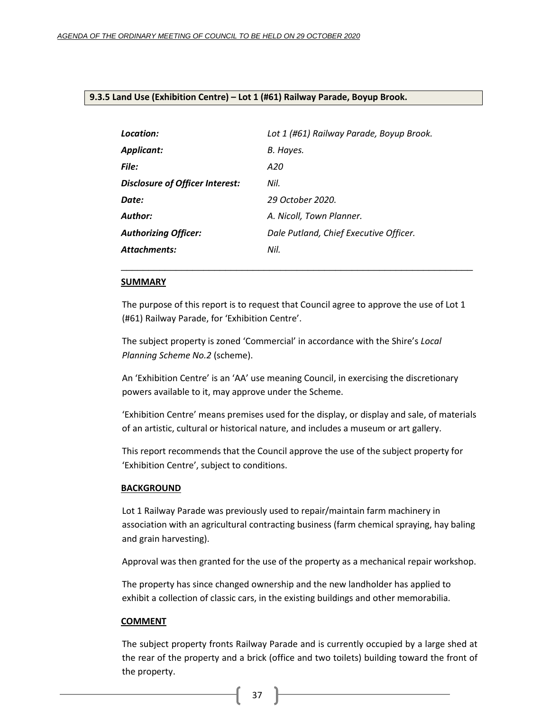### <span id="page-36-0"></span>**9.3.5 Land Use (Exhibition Centre) – Lot 1 (#61) Railway Parade, Boyup Brook.**

| Location:                              | Lot 1 (#61) Railway Parade, Boyup Brook. |
|----------------------------------------|------------------------------------------|
| Applicant:                             | B. Hayes.                                |
| <b>File:</b>                           | A20                                      |
| <b>Disclosure of Officer Interest:</b> | Nil.                                     |
| Date:                                  | 29 October 2020.                         |
| Author:                                | A. Nicoll, Town Planner.                 |
| <b>Authorizing Officer:</b>            | Dale Putland, Chief Executive Officer.   |
| Attachments:                           | Nil.                                     |

#### **SUMMARY**

The purpose of this report is to request that Council agree to approve the use of Lot 1 (#61) Railway Parade, for 'Exhibition Centre'.

\_\_\_\_\_\_\_\_\_\_\_\_\_\_\_\_\_\_\_\_\_\_\_\_\_\_\_\_\_\_\_\_\_\_\_\_\_\_\_\_\_\_\_\_\_\_\_\_\_\_\_\_\_\_\_\_\_\_\_\_\_\_\_\_

The subject property is zoned 'Commercial' in accordance with the Shire's *Local Planning Scheme No.2* (scheme).

An 'Exhibition Centre' is an 'AA' use meaning Council, in exercising the discretionary powers available to it, may approve under the Scheme.

'Exhibition Centre' means premises used for the display, or display and sale, of materials of an artistic, cultural or historical nature, and includes a museum or art gallery.

This report recommends that the Council approve the use of the subject property for 'Exhibition Centre', subject to conditions.

#### **BACKGROUND**

Lot 1 Railway Parade was previously used to repair/maintain farm machinery in association with an agricultural contracting business (farm chemical spraying, hay baling and grain harvesting).

Approval was then granted for the use of the property as a mechanical repair workshop.

The property has since changed ownership and the new landholder has applied to exhibit a collection of classic cars, in the existing buildings and other memorabilia.

#### **COMMENT**

The subject property fronts Railway Parade and is currently occupied by a large shed at the rear of the property and a brick (office and two toilets) building toward the front of the property.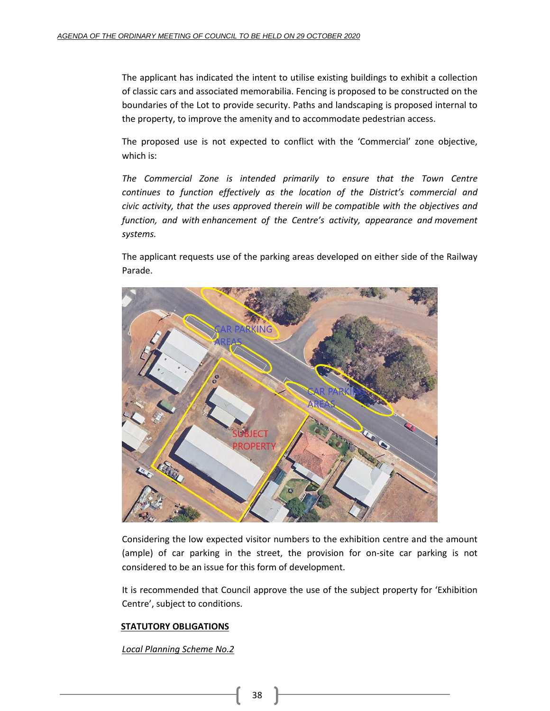The applicant has indicated the intent to utilise existing buildings to exhibit a collection of classic cars and associated memorabilia. Fencing is proposed to be constructed on the boundaries of the Lot to provide security. Paths and landscaping is proposed internal to the property, to improve the amenity and to accommodate pedestrian access.

The proposed use is not expected to conflict with the 'Commercial' zone objective, which is:

*The Commercial Zone is intended primarily to ensure that the Town Centre continues to function effectively as the location of the District's commercial and civic activity, that the uses approved therein will be compatible with the objectives and function, and with enhancement of the Centre's activity, appearance and movement systems.*

The applicant requests use of the parking areas developed on either side of the Railway Parade.



Considering the low expected visitor numbers to the exhibition centre and the amount (ample) of car parking in the street, the provision for on-site car parking is not considered to be an issue for this form of development.

It is recommended that Council approve the use of the subject property for 'Exhibition Centre', subject to conditions.

# **STATUTORY OBLIGATIONS**

*Local Planning Scheme No.2*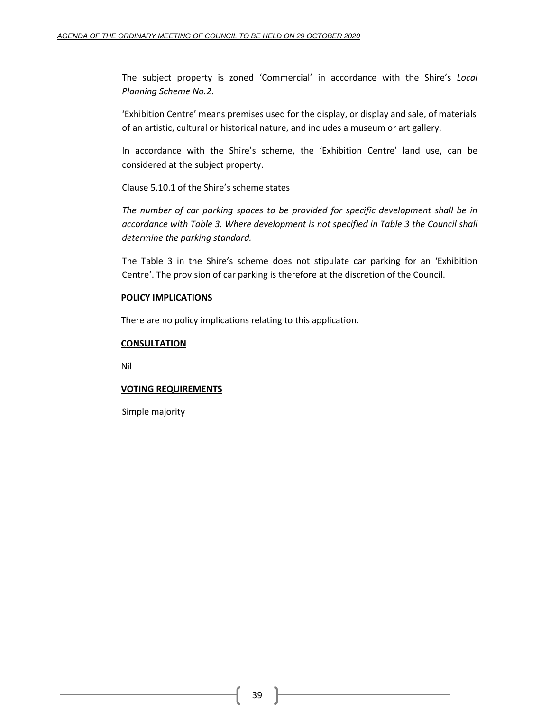The subject property is zoned 'Commercial' in accordance with the Shire's *Local Planning Scheme No.2*.

'Exhibition Centre' means premises used for the display, or display and sale, of materials of an artistic, cultural or historical nature, and includes a museum or art gallery.

In accordance with the Shire's scheme, the 'Exhibition Centre' land use, can be considered at the subject property.

Clause 5.10.1 of the Shire's scheme states

*The number of car parking spaces to be provided for specific development shall be in accordance with Table 3. Where development is not specified in Table 3 the Council shall determine the parking standard.*

The Table 3 in the Shire's scheme does not stipulate car parking for an 'Exhibition Centre'. The provision of car parking is therefore at the discretion of the Council.

# **POLICY IMPLICATIONS**

There are no policy implications relating to this application.

# **CONSULTATION**

Nil

# **VOTING REQUIREMENTS**

Simple majority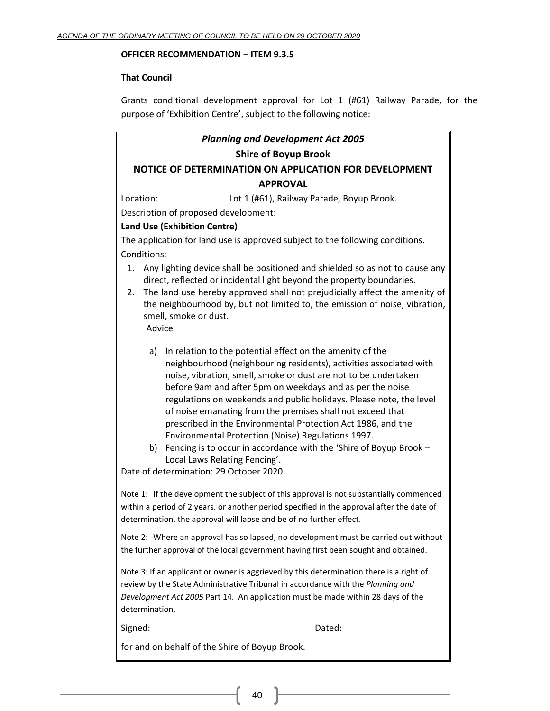### **OFFICER RECOMMENDATION – ITEM 9.3.5**

### **That Council**

Grants conditional development approval for Lot 1 (#61) Railway Parade, for the purpose of 'Exhibition Centre', subject to the following notice:

# *Planning and Development Act 2005* **Shire of Boyup Brook NOTICE OF DETERMINATION ON APPLICATION FOR DEVELOPMENT**

### **APPROVAL**

Location: Lot 1 (#61), Railway Parade, Boyup Brook.

Description of proposed development:

# **Land Use (Exhibition Centre)**

The application for land use is approved subject to the following conditions. Conditions:

- 1. Any lighting device shall be positioned and shielded so as not to cause any direct, reflected or incidental light beyond the property boundaries.
- 2. The land use hereby approved shall not prejudicially affect the amenity of the neighbourhood by, but not limited to, the emission of noise, vibration, smell, smoke or dust. Advice

- a) In relation to the potential effect on the amenity of the neighbourhood (neighbouring residents), activities associated with noise, vibration, smell, smoke or dust are not to be undertaken before 9am and after 5pm on weekdays and as per the noise regulations on weekends and public holidays. Please note, the level of noise emanating from the premises shall not exceed that prescribed in the Environmental Protection Act 1986, and the Environmental Protection (Noise) Regulations 1997.
- b) Fencing is to occur in accordance with the 'Shire of Boyup Brook Local Laws Relating Fencing'.

Date of determination: 29 October 2020

Note 1: If the development the subject of this approval is not substantially commenced within a period of 2 years, or another period specified in the approval after the date of determination, the approval will lapse and be of no further effect.

Note 2: Where an approval has so lapsed, no development must be carried out without the further approval of the local government having first been sought and obtained.

Note 3: If an applicant or owner is aggrieved by this determination there is a right of review by the State Administrative Tribunal in accordance with the *Planning and Development Act 2005* Part 14. An application must be made within 28 days of the determination.

Signed: Dated:

for and on behalf of the Shire of Boyup Brook.